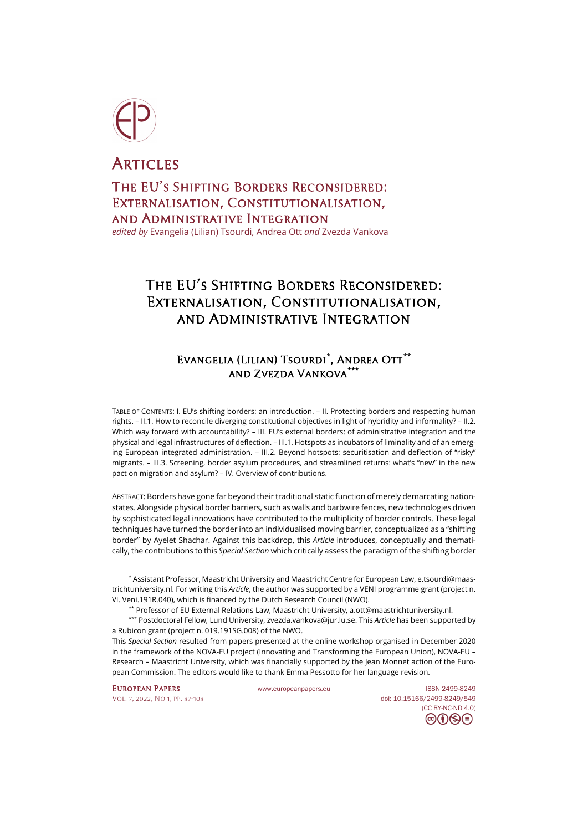

**ARTICLES** 

The EU's Shifting Borders Reconsidered: Externalisation, Constitutionalisation, and Administrative Integration

*edited by* Evangelia (Lilian) Tsourdi, Andrea Ott *and* Zvezda Vankova

# The EU's Shifting Borders Reconsidered: Externalisation, Constitutionalisation, and Administrative Integration

# Evangelia (Lilian) Tsourdi**[\\*](#page-0-0)** , Andrea Ott**[\\*\\*](#page-0-1)** and Zvezda Vankova**[\\*\\*\\*](#page-0-2)**

TABLE OF CONTENTS: I. EU's shifting borders: an introduction. – II. Protecting borders and respecting human rights. – II.1. How to reconcile diverging constitutional objectives in light of hybridity and informality? – II.2. Which way forward with accountability? – III. EU's external borders: of administrative integration and the physical and legal infrastructures of deflection. – III.1. Hotspots as incubators of liminality and of an emerging European integrated administration. - III.2. Beyond hotspots: securitisation and deflection of "risky" migrants. – III.3. Screening, border asylum procedures, and streamlined returns: what's "new" in the new pact on migration and asylum? – IV. Overview of contributions.

ABSTRACT: Borders have gone far beyond their traditional static function of merely demarcating nationstates. Alongside physical border barriers, such as walls and barbwire fences, new technologies driven by sophisticated legal innovations have contributed to the multiplicity of border controls. These legal techniques have turned the border into an individualised moving barrier, conceptualized as a "shifting border" by Ayelet Shachar. Against this backdrop, this *Article* introduces, conceptually and thematically, the contributions to this *Special Section* which critically assess the paradigm of the shifting border

<span id="page-0-0"></span>\* Assistant Professor, Maastricht University and Maastricht Centre for European Law[, e.tsourdi@maas](mailto:e.tsourdi@maastrichtuniversity.nl)[trichtuniversity.nl.](mailto:e.tsourdi@maastrichtuniversity.nl) For writing this *Article*, the author was supported by a VENI programme grant (project n. VI. Veni.191R.040), which is financed by the Dutch Research Council (NWO).

\*\* Professor of EU External Relations Law, Maastricht University[, a.ott@maastrichtuniversity.nl.](mailto:a.ott@maastrichtuniversity.nl)

<span id="page-0-2"></span><span id="page-0-1"></span>\*\*\* Postdoctoral Fellow, Lund University, [zvezda.vankova@jur.lu.se.](mailto:zvezda.vankova@jur.lu.se) This *Article* has been supported by a Rubicon grant (project n. 019.191SG.008) of the NWO.

This *Special Section* resulted from papers presented at the online workshop organised in December 2020 in the framework of the NOVA-EU project (Innovating and Transforming the European Union), NOVA-EU – Research – Maastricht University, which was financially supported by the Jean Monnet action of the European Commission. The editors would like to thank Emma Pessotto for her language revision.

EUROPEAN PAPERS Www.europeanpapers.eu ISS[N 2499-8249](https://search.datacite.org/works?query=www.europeanpapers.eu) [Vol. 7, 2022, No 1,](https://www.europeanpapers.eu/en/content/e-journal/EP_eJ_2022_1) pp. 87-108 doi[: 10.15166/2499-8249/549](https://search.datacite.org/works/10.15166/2499-8249/549) [\(CC BY-NC-ND 4.0\)](https://creativecommons.org/licenses/by-nc-nd/4.0/)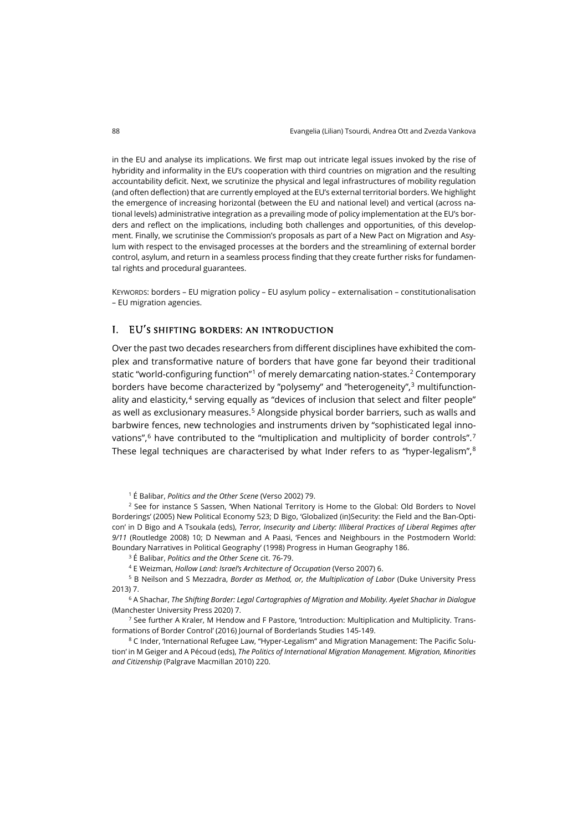in the EU and analyse its implications. We first map out intricate legal issues invoked by the rise of hybridity and informality in the EU's cooperation with third countries on migration and the resulting accountability deficit. Next, we scrutinize the physical and legal infrastructures of mobility regulation (and often deflection) that are currently employed at the EU's external territorial borders. We highlight the emergence of increasing horizontal (between the EU and national level) and vertical (across national levels) administrative integration as a prevailing mode of policy implementation at the EU's borders and reflect on the implications, including both challenges and opportunities, of this development. Finally, we scrutinise the Commission's proposals as part of a New Pact on Migration and Asylum with respect to the envisaged processes at the borders and the streamlining of external border control, asylum, and return in a seamless process finding that they create further risks for fundamental rights and procedural guarantees.

KEYWORDS: borders – EU migration policy – EU asylum policy – externalisation – constitutionalisation – EU migration agencies.

# I. EU's shifting borders: an introduction

Over the past two decades researchers from different disciplines have exhibited the complex and transformative nature of borders that have gone far beyond their traditional static "world-configuring function"<sup>[1](#page-1-0)</sup> of merely demarcating nation-states.<sup>[2](#page-1-1)</sup> Contemporary borders have become characterized by "polysemy" and "heterogeneity", [3](#page-1-2) multifunctionality and elasticity, $4$  serving equally as "devices of inclusion that select and filter people" as well as exclusionary measures.[5](#page-1-4) Alongside physical border barriers, such as walls and barbwire fences, new technologies and instruments driven by "sophisticated legal innovations", [6](#page-1-5) have contributed to the "multiplication and multiplicity of border controls". [7](#page-1-6) These legal techniques are characterised by what Inder refers to as "hyper-legalism", $^{\mathrm{8}}$  $^{\mathrm{8}}$  $^{\mathrm{8}}$ 

<sup>1</sup> É Balibar, *Politics and the Other Scene* (Verso 2002) 79.

<span id="page-1-1"></span><span id="page-1-0"></span><sup>2</sup> See for instance S Sassen, 'When National Territory is Home to the Global: Old Borders to Novel Borderings' (2005) New Political Economy 523; D Bigo, 'Globalized (in)Security: the Field and the Ban-Opticon' in D Bigo and A Tsoukala (eds), *Terror, Insecurity and Liberty: Illiberal Practices of Liberal Regimes after 9/11* (Routledge 2008) 10; D Newman and A Paasi, 'Fences and Neighbours in the Postmodern World: Boundary Narratives in Political Geography' (1998) Progress in Human Geography 186.

<sup>3</sup> É Balibar, *Politics and the Other Scene* cit. 76-79.

<sup>4</sup> E Weizman, *Hollow Land: Israel's Architecture of Occupation* (Verso 2007) 6.

<span id="page-1-4"></span><span id="page-1-3"></span><span id="page-1-2"></span><sup>5</sup> B Neilson and S Mezzadra, *Border as Method, or, the Multiplication of Labor* (Duke University Press 2013) 7.

<span id="page-1-5"></span><sup>6</sup> A Shachar, *The Shifting Border: Legal Cartographies of Migration and Mobility. Ayelet Shachar in Dialogue* (Manchester University Press 2020) 7.

<span id="page-1-6"></span> $7$  See further A Kraler, M Hendow and F Pastore, 'Introduction: Multiplication and Multiplicity. Transformations of Border Control' (2016) Journal of Borderlands Studies 145-149.

<span id="page-1-7"></span><sup>8</sup> C Inder, 'International Refugee Law, "Hyper-Legalism" and Migration Management: The Pacific Solution' in M Geiger and A Pécoud (eds), *The Politics of International Migration Management. Migration, Minorities and Citizenship* (Palgrave Macmillan 2010) 220.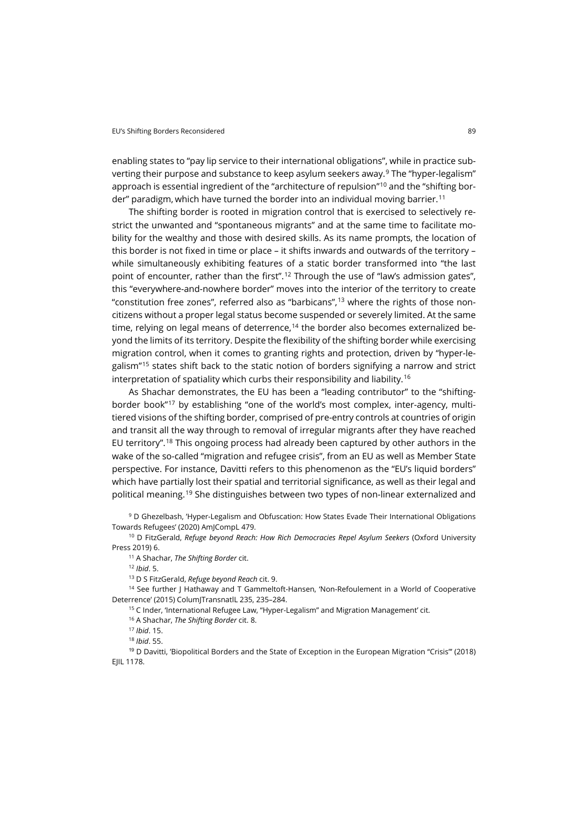enabling states to "pay lip service to their international obligations", while in practice subverting their purpose and substance to keep asylum seekers away.[9](#page-2-0) The "hyper-legalism" approach is essential ingredient of the "architecture of repulsion"<sup>[10](#page-2-1)</sup> and the "shifting border" paradigm, which have turned the border into an individual moving barrier.[11](#page-2-2)

The shifting border is rooted in migration control that is exercised to selectively restrict the unwanted and "spontaneous migrants" and at the same time to facilitate mobility for the wealthy and those with desired skills. As its name prompts, the location of this border is not fixed in time or place – it shifts inwards and outwards of the territory – while simultaneously exhibiting features of a static border transformed into "the last point of encounter, rather than the first".<sup>[12](#page-2-3)</sup> Through the use of "law's admission gates", this "everywhere-and-nowhere border" moves into the interior of the territory to create "constitution free zones", referred also as "barbicans", [13](#page-2-4) where the rights of those noncitizens without a proper legal status become suspended or severely limited. At the same time, relying on legal means of deterrence, [14](#page-2-5) the border also becomes externalized beyond the limits of its territory. Despite the flexibility of the shifting border while exercising migration control, when it comes to granting rights and protection, driven by "hyper-legalism"[15](#page-2-6) states shift back to the static notion of borders signifying a narrow and strict interpretation of spatiality which curbs their responsibility and liability.[16](#page-2-7)

As Shachar demonstrates, the EU has been a "leading contributor" to the "shiftingborder book"[17](#page-2-8) by establishing "one of the world's most complex, inter-agency, multitiered visions of the shifting border, comprised of pre-entry controls at countries of origin and transit all the way through to removal of irregular migrants after they have reached EU territory". [18](#page-2-9) This ongoing process had already been captured by other authors in the wake of the so-called "migration and refugee crisis", from an EU as well as Member State perspective. For instance, Davitti refers to this phenomenon as the "EU's liquid borders" which have partially lost their spatial and territorial significance, as well as their legal and political meaning.[19](#page-2-10) She distinguishes between two types of non-linear externalized and

<span id="page-2-0"></span><sup>9</sup> D Ghezelbash, 'Hyper-Legalism and Obfuscation: How States Evade Their International Obligations Towards Refugees' (2020) AmJCompL 479.

<span id="page-2-2"></span><span id="page-2-1"></span><sup>10</sup> D FitzGerald, *Refuge beyond Reach: How Rich Democracies Repel Asylum Seekers* (Oxford University Press 2019) 6.

<sup>11</sup> A Shachar, *The Shifting Border* cit.

<sup>12</sup> *Ibid*. 5.

<sup>13</sup> D S FitzGerald, *Refuge beyond Reach* cit. 9.

<span id="page-2-7"></span><span id="page-2-6"></span><span id="page-2-5"></span><span id="page-2-4"></span><span id="page-2-3"></span><sup>14</sup> See further J Hathaway and T Gammeltoft-Hansen, 'Non-Refoulement in a World of Cooperative Deterrence' (2015) ColumJTransnatlL 235, 235–284.

<sup>15</sup> C Inder, 'International Refugee Law, "Hyper-Legalism" and Migration Management' cit.

<sup>16</sup> A Shachar, *The Shifting Border* cit. 8.

<sup>17</sup> *Ibid*. 15.

<sup>18</sup> *Ibid*. 55.

<span id="page-2-10"></span><span id="page-2-9"></span><span id="page-2-8"></span><sup>19</sup> D Davitti, 'Biopolitical Borders and the State of Exception in the European Migration "Crisis"' (2018) EJIL 1178.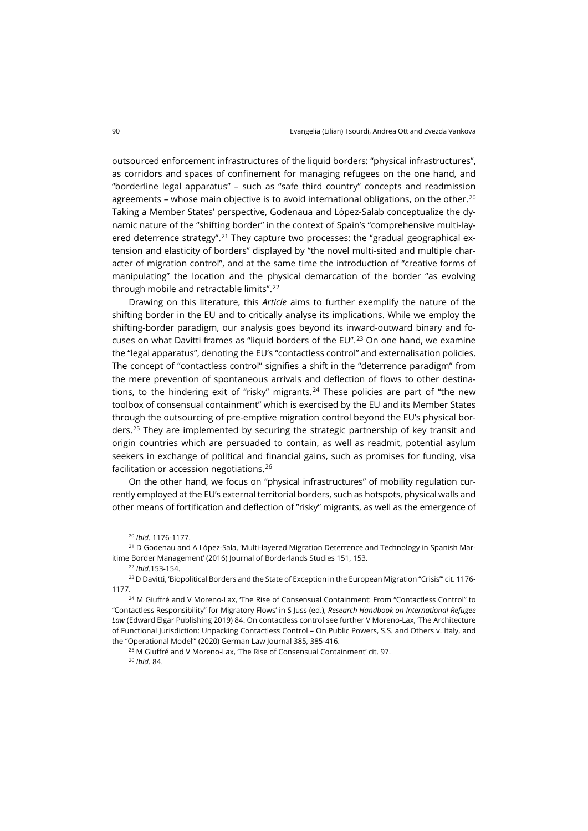outsourced enforcement infrastructures of the liquid borders: "physical infrastructures", as corridors and spaces of confinement for managing refugees on the one hand, and "borderline legal apparatus" – such as "safe third country" concepts and readmission agreements – whose main objective is to avoid international obligations, on the other.<sup>[20](#page-3-0)</sup> Taking a Member States' perspective, Godenaua and López-Salab conceptualize the dynamic nature of the "shifting border" in the context of Spain's "comprehensive multi-lay-ered deterrence strategy".<sup>[21](#page-3-1)</sup> They capture two processes: the "gradual geographical extension and elasticity of borders" displayed by "the novel multi-sited and multiple character of migration control", and at the same time the introduction of "creative forms of manipulating" the location and the physical demarcation of the border "as evolving through mobile and retractable limits". [22](#page-3-2)

Drawing on this literature, this *Article* aims to further exemplify the nature of the shifting border in the EU and to critically analyse its implications. While we employ the shifting-border paradigm, our analysis goes beyond its inward-outward binary and focuses on what Davitti frames as "liquid borders of the EU". [23](#page-3-3) On one hand, we examine the "legal apparatus", denoting the EU's "contactless control" and externalisation policies. The concept of "contactless control" signifies a shift in the "deterrence paradigm" from the mere prevention of spontaneous arrivals and deflection of flows to other destina-tions, to the hindering exit of "risky" migrants.<sup>[24](#page-3-4)</sup> These policies are part of "the new toolbox of consensual containment" which is exercised by the EU and its Member States through the outsourcing of pre-emptive migration control beyond the EU's physical borders.[25](#page-3-5) They are implemented by securing the strategic partnership of key transit and origin countries which are persuaded to contain, as well as readmit, potential asylum seekers in exchange of political and financial gains, such as promises for funding, visa facilitation or accession negotiations.[26](#page-3-6)

On the other hand, we focus on "physical infrastructures" of mobility regulation currently employed at the EU's external territorial borders, such as hotspots, physical walls and other means of fortification and deflection of "risky" migrants, as well as the emergence of

<span id="page-3-1"></span><span id="page-3-0"></span><sup>21</sup> D Godenau and A López-Sala, 'Multi-layered Migration Deterrence and Technology in Spanish Maritime Border Management' (2016) Journal of Borderlands Studies 151, 153.

<sup>22</sup> *Ibid*.153-154.

<span id="page-3-3"></span><span id="page-3-2"></span><sup>23</sup> D Davitti, 'Biopolitical Borders and the State of Exception in the European Migration "Crisis"' cit. 1176-1177.

<span id="page-3-6"></span><span id="page-3-5"></span><span id="page-3-4"></span><sup>24</sup> M Giuffré and V Moreno-Lax, 'The Rise of Consensual Containment: From "Contactless Control" to "Contactless Responsibility" for Migratory Flows' in S Juss (ed.), *Research Handbook on International Refugee Law* (Edward Elgar Publishing 2019) 84. On contactless control see further V Moreno-Lax, 'The Architecture of Functional Jurisdiction: Unpacking Contactless Control – On Public Powers, S.S. and Others v. Italy, and the "Operational Model"' (2020) German Law Journal 385, 385-416.

<sup>25</sup> M Giuffré and V Moreno-Lax, 'The Rise of Consensual Containment' cit. 97. <sup>26</sup> *Ibid*. 84.

<sup>20</sup> *Ibid*. 1176-1177.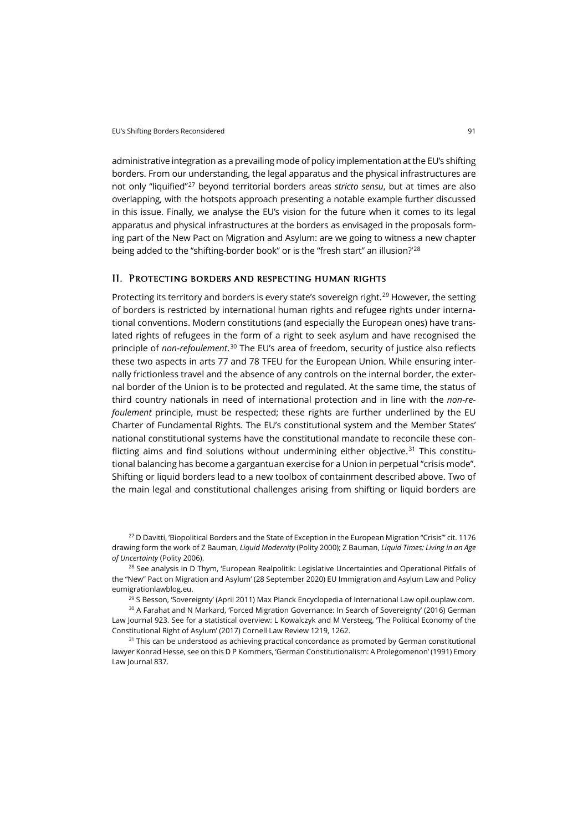administrative integration as a prevailing mode of policy implementation at the EU's shifting borders. From our understanding, the legal apparatus and the physical infrastructures are not only "liquified"[27](#page-4-0) beyond territorial borders areas *stricto sensu*, but at times are also overlapping, with the hotspots approach presenting a notable example further discussed in this issue. Finally, we analyse the EU's vision for the future when it comes to its legal apparatus and physical infrastructures at the borders as envisaged in the proposals forming part of the New Pact on Migration and Asylum: are we going to witness a new chapter being added to the "shifting-border book" or is the "fresh start" an illusion?<sup>'[28](#page-4-1)</sup>

#### II. Protecting borders and respecting human rights

Protecting its territory and borders is every state's sovereign right.<sup>[29](#page-4-2)</sup> However, the setting of borders is restricted by international human rights and refugee rights under international conventions. Modern constitutions (and especially the European ones) have translated rights of refugees in the form of a right to seek asylum and have recognised the principle of *non-refoulement*. [30](#page-4-3) The EU's area of freedom, security of justice also reflects these two aspects in arts 77 and 78 TFEU for the European Union. While ensuring internally frictionless travel and the absence of any controls on the internal border, the external border of the Union is to be protected and regulated. At the same time, the status of third country nationals in need of international protection and in line with the *non-refoulement* principle, must be respected; these rights are further underlined by the EU Charter of Fundamental Rights*.* The EU's constitutional system and the Member States' national constitutional systems have the constitutional mandate to reconcile these con-flicting aims and find solutions without undermining either objective.<sup>[31](#page-4-4)</sup> This constitutional balancing has become a gargantuan exercise for a Union in perpetual "crisis mode". Shifting or liquid borders lead to a new toolbox of containment described above. Two of the main legal and constitutional challenges arising from shifting or liquid borders are

<span id="page-4-0"></span><sup>27</sup> D Davitti, 'Biopolitical Borders and the State of Exception in the European Migration "Crisis"' cit. 1176 drawing form the work of Z Bauman, *Liquid Modernity* (Polity 2000); Z Bauman, *Liquid Times: Living in an Age of Uncertainty* (Polity 2006).

<span id="page-4-1"></span><sup>28</sup> See analysis in D Thym, 'European Realpolitik: Legislative Uncertainties and Operational Pitfalls of the "New" Pact on Migration and Asylum' (28 September 2020) EU Immigration and Asylum Law and Policy [eumigrationlawblog.eu.](https://eumigrationlawblog.eu/european-realpolitik-legislative-uncertainties-und-operational-pitfalls-of-the-new-pact-on-migration-and-asylum/)

<sup>29</sup> S Besson, 'Sovereignty' (April 2011) Max Planck Encyclopedia of International La[w opil.ouplaw.com.](https://opil.ouplaw.com/view/10.1093/law:epil/9780199231690/law-9780199231690-e1472?prd=MPIL)

<span id="page-4-3"></span><span id="page-4-2"></span><sup>30</sup> A Farahat and N Markard, 'Forced Migration Governance: In Search of Sovereignty' (2016) German Law Journal 923. See for a statistical overview: L Kowalczyk and M Versteeg, 'The Political Economy of the Constitutional Right of Asylum' (2017) Cornell Law Review 1219, 1262.

<span id="page-4-4"></span><sup>31</sup> This can be understood as achieving practical concordance as promoted by German constitutional lawyer Konrad Hesse, see on this D P Kommers, 'German Constitutionalism: A Prolegomenon' (1991) Emory Law Journal 837.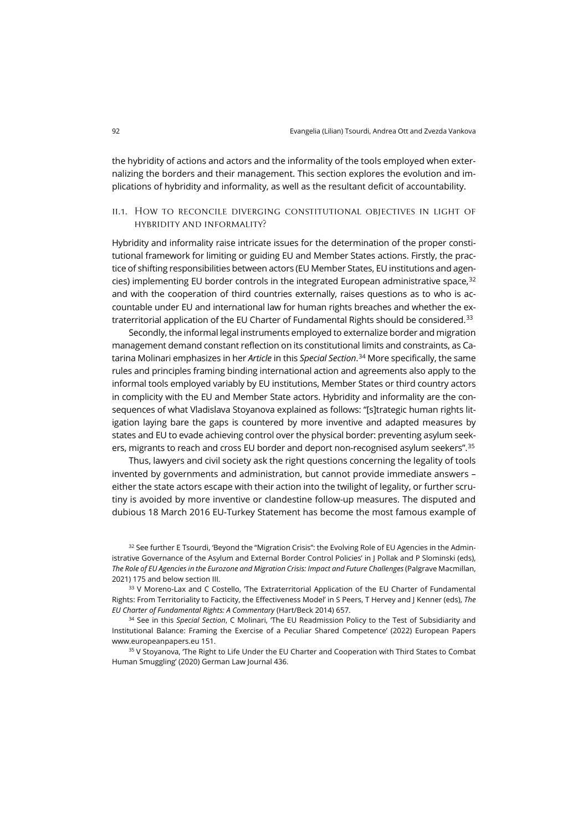the hybridity of actions and actors and the informality of the tools employed when externalizing the borders and their management. This section explores the evolution and implications of hybridity and informality, as well as the resultant deficit of accountability.

# ii.1. How to reconcile diverging constitutional objectives in light of hybridity and informality?

Hybridity and informality raise intricate issues for the determination of the proper constitutional framework for limiting or guiding EU and Member States actions. Firstly, the practice of shifting responsibilities between actors (EU Member States, EU institutions and agen-cies) implementing EU border controls in the integrated European administrative space,<sup>[32](#page-5-0)</sup> and with the cooperation of third countries externally, raises questions as to who is accountable under EU and international law for human rights breaches and whether the ex-traterritorial application of the EU Charter of Fundamental Rights should be considered.<sup>[33](#page-5-1)</sup>

Secondly, the informal legal instruments employed to externalize border and migration management demand constant reflection on its constitutional limits and constraints, as Catarina Molinari emphasizes in her *Article* in this *Special Section*. [34](#page-5-2) More specifically, the same rules and principles framing binding international action and agreements also apply to the informal tools employed variably by EU institutions, Member States or third country actors in complicity with the EU and Member State actors. Hybridity and informality are the consequences of what Vladislava Stoyanova explained as follows: "[s]trategic human rights litigation laying bare the gaps is countered by more inventive and adapted measures by states and EU to evade achieving control over the physical border: preventing asylum seekers, migrants to reach and cross EU border and deport non-recognised asylum seekers". [35](#page-5-3)

Thus, lawyers and civil society ask the right questions concerning the legality of tools invented by governments and administration, but cannot provide immediate answers – either the state actors escape with their action into the twilight of legality, or further scrutiny is avoided by more inventive or clandestine follow-up measures. The disputed and dubious 18 March 2016 EU-Turkey Statement has become the most famous example of

<span id="page-5-0"></span><sup>32</sup> See further E Tsourdi, 'Beyond the "Migration Crisis": the Evolving Role of EU Agencies in the Administrative Governance of the Asylum and External Border Control Policies' in J Pollak and P Slominski (eds), *The Role of EU Agencies in the Eurozone and Migration Crisis: Impact and Future Challenges* (Palgrave Macmillan, 2021) 175 and below section III.

<span id="page-5-1"></span><sup>33</sup> V Moreno-Lax and C Costello, 'The Extraterritorial Application of the EU Charter of Fundamental Rights: From Territoriality to Facticity, the Effectiveness Model' in S Peers, T Hervey and J Kenner (eds), *The EU Charter of Fundamental Rights: A Commentary* (Hart/Beck 2014) 657.

<span id="page-5-2"></span><sup>34</sup> See in this *Special Section*, C Molinari, 'The EU Readmission Policy to the Test of Subsidiarity and Institutional Balance: Framing the Exercise of a Peculiar Shared Competence' (2022) European Papers [www.europeanpapers.eu](https://www.europeanpapers.eu/en/e-journal/eu-readmission-policy-to-test-subsidiarity-and-institutional-balance) 151.

<span id="page-5-3"></span><sup>35</sup> V Stoyanova, 'The Right to Life Under the EU Charter and Cooperation with Third States to Combat Human Smuggling' (2020) German Law Journal 436.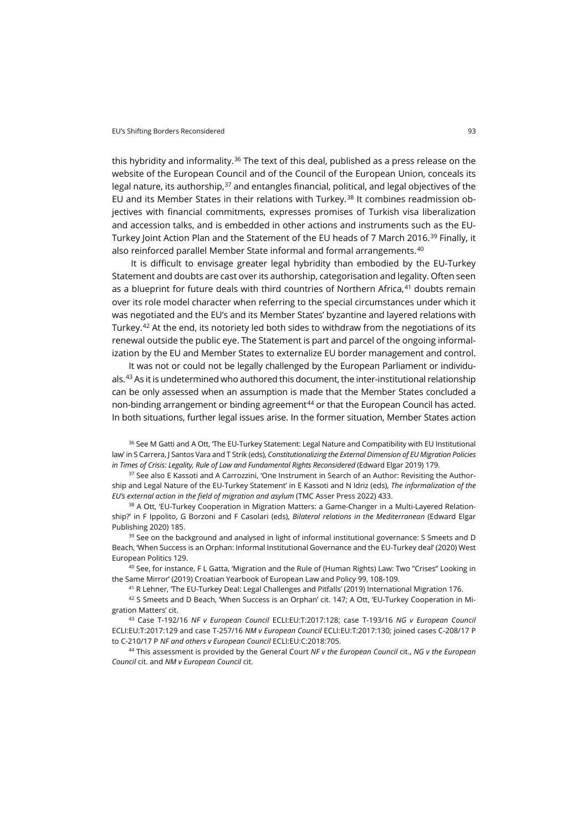this hybridity and informality.<sup>[36](#page-6-0)</sup> The text of this deal, published as a press release on the website of the European Council and of the Council of the European Union, conceals its legal nature, its authorship,<sup>[37](#page-6-1)</sup> and entangles financial, political, and legal objectives of the EU and its Member States in their relations with Turkey.<sup>[38](#page-6-2)</sup> It combines readmission objectives with financial commitments, expresses promises of Turkish visa liberalization and accession talks, and is embedded in other actions and instruments such as the EU-Turkey Joint Action Plan and the Statement of the EU heads of 7 March 2016.<sup>[39](#page-6-3)</sup> Finally, it also reinforced parallel Member State informal and formal arrangements.<sup>[40](#page-6-4)</sup>

It is difficult to envisage greater legal hybridity than embodied by the EU-Turkey Statement and doubts are cast over its authorship, categorisation and legality. Often seen as a blueprint for future deals with third countries of Northern Africa, $41$  doubts remain over its role model character when referring to the special circumstances under which it was negotiated and the EU's and its Member States' byzantine and layered relations with Turkey.<sup>[42](#page-6-6)</sup> At the end, its notoriety led both sides to withdraw from the negotiations of its renewal outside the public eye. The Statement is part and parcel of the ongoing informalization by the EU and Member States to externalize EU border management and control.

It was not or could not be legally challenged by the European Parliament or individu-als.<sup>[43](#page-6-7)</sup> As it is undetermined who authored this document, the inter-institutional relationship can be only assessed when an assumption is made that the Member States concluded a non-binding arrangement or binding agreement $44$  or that the European Council has acted. In both situations, further legal issues arise. In the former situation, Member States action

<span id="page-6-0"></span><sup>36</sup> See M Gatti and A Ott, The EU-Turkey Statement: Legal Nature and Compatibility with EU Institutional law' in S Carrera, J Santos Vara and T Strik (eds), *Constitutionalizing the External Dimension of EU Migration Policies in Times of Crisis: Legality, Rule of Law and Fundamental Rights Reconsidered* (Edward Elgar 2019) 179.

<span id="page-6-1"></span><sup>37</sup> See also E Kassoti and A Carrozzini, 'One Instrument in Search of an Author: Revisiting the Authorship and Legal Nature of the EU-Turkey Statement' in E Kassoti and N Idriz (eds), *The informalization of the EU's external action in the field of migration and asylum* (TMC Asser Press 2022) 433.

<span id="page-6-2"></span><sup>38</sup> A Ott, 'EU-Turkey Cooperation in Migration Matters: a Game-Changer in a Multi-Layered Relationship?' in F Ippolito, G Borzoni and F Casolari (eds), *Bilateral relations in the Mediterranean* (Edward Elgar Publishing 2020) 185.

<span id="page-6-3"></span><sup>39</sup> See on the background and analysed in light of informal institutional governance: S Smeets and D Beach, 'When Success is an Orphan: Informal Institutional Governance and the EU-Turkey deal' (2020) West European Politics 129.

<span id="page-6-4"></span><sup>40</sup> See, for instance, F L Gatta, 'Migration and the Rule of (Human Rights) Law: Two "Crises" Looking in the Same Mirror' (2019) Croatian Yearbook of European Law and Policy 99, 108-109.

<sup>41</sup> R Lehner, 'The EU-Turkey Deal: Legal Challenges and Pitfalls' (2019) International Migration 176.

<span id="page-6-6"></span><span id="page-6-5"></span><sup>42</sup> S Smeets and D Beach, 'When Success is an Orphan' cit. 147; A Ott, 'EU-Turkey Cooperation in Migration Matters' cit.

<span id="page-6-7"></span><sup>43</sup> Case T-192/16 *NF v European Council* ECLI:EU:T:2017:128; case T-193/16 *NG v European Council* ECLI:EU:T:2017:129 and case T-257/16 *NM v European Council* ECLI:EU:T:2017:130; joined cases C-208/17 P to C-210/17 P *NF and others v European Council* ECLI:EU:C:2018:705.

<span id="page-6-8"></span><sup>44</sup> This assessment is provided by the General Court *NF v the European Council* cit., *NG v the European Council* cit. and *NM v European Council* cit.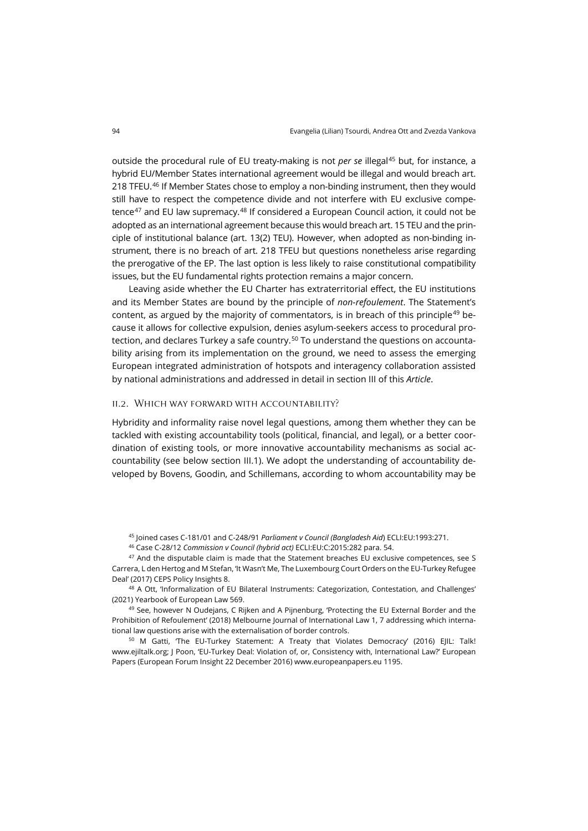outside the procedural rule of EU treaty-making is not *per se* illegal<sup>[45](#page-7-0)</sup> but, for instance, a hybrid EU/Member States international agreement would be illegal and would breach art. 218 TFEU.<sup>[46](#page-7-1)</sup> If Member States chose to employ a non-binding instrument, then they would still have to respect the competence divide and not interfere with EU exclusive competence[47](#page-7-2) and EU law supremacy.[48](#page-7-3) If considered a European Council action, it could not be adopted as an international agreement because this would breach art. 15 TEU and the principle of institutional balance (art. 13(2) TEU). However, when adopted as non-binding instrument, there is no breach of art. 218 TFEU but questions nonetheless arise regarding the prerogative of the EP. The last option is less likely to raise constitutional compatibility issues, but the EU fundamental rights protection remains a major concern.

Leaving aside whether the EU Charter has extraterritorial effect, the EU institutions and its Member States are bound by the principle of *non-refoulement*. The Statement's content, as argued by the majority of commentators, is in breach of this principle<sup>[49](#page-7-4)</sup> because it allows for collective expulsion, denies asylum-seekers access to procedural pro-tection, and declares Turkey a safe country.<sup>[50](#page-7-5)</sup> To understand the questions on accountability arising from its implementation on the ground, we need to assess the emerging European integrated administration of hotspots and interagency collaboration assisted by national administrations and addressed in detail in section III of this *Article*.

#### ii.2. Which way forward with accountability?

Hybridity and informality raise novel legal questions, among them whether they can be tackled with existing accountability tools (political, financial, and legal), or a better coordination of existing tools, or more innovative accountability mechanisms as social accountability (see below section III.1). We adopt the understanding of accountability developed by Bovens, Goodin, and Schillemans, according to whom accountability may be

<sup>45</sup> Joined cases C-181/01 and C-248/91 *Parliament v Council (Bangladesh Aid*) ECLI:EU:1993:271.

<sup>46</sup> Case C-28/12 *Commission v Council (hybrid act)* ECLI:EU:C:2015:282 para. 54.

<span id="page-7-2"></span><span id="page-7-1"></span><span id="page-7-0"></span><sup>47</sup> And the disputable claim is made that the Statement breaches EU exclusive competences, see S Carrera, L den Hertog and M Stefan, 'It Wasn't Me, The Luxembourg Court Orders on the EU-Turkey Refugee Deal' (2017) CEPS Policy Insights 8.

<span id="page-7-3"></span><sup>48</sup> A Ott, 'Informalization of EU Bilateral Instruments: Categorization, Contestation, and Challenges' (2021) Yearbook of European Law 569.

<span id="page-7-4"></span><sup>49</sup> See, however N Oudejans, C Rijken and A Pijnenburg, 'Protecting the EU External Border and the Prohibition of Refoulement' (2018) Melbourne Journal of International Law 1, 7 addressing which international law questions arise with the externalisation of border controls.

<span id="page-7-5"></span><sup>50</sup> M Gatti, 'The EU-Turkey Statement: A Treaty that Violates Democracy' (2016) EJIL: Talk! [www.ejiltalk.org;](https://www.ejiltalk.org/the-eu-turkey-statement-a-treaty-that-violates-democracy-part-1-of-2/) J Poon, 'EU-Turkey Deal: Violation of, or, Consistency with, International Law?' European Papers (European Forum Insight 22 December 2016[\) www.europeanpapers.eu](https://www.europeanpapers.eu/en/europeanforum/eu-turkey-deal-violation-or-consistency-with-international-law) 1195.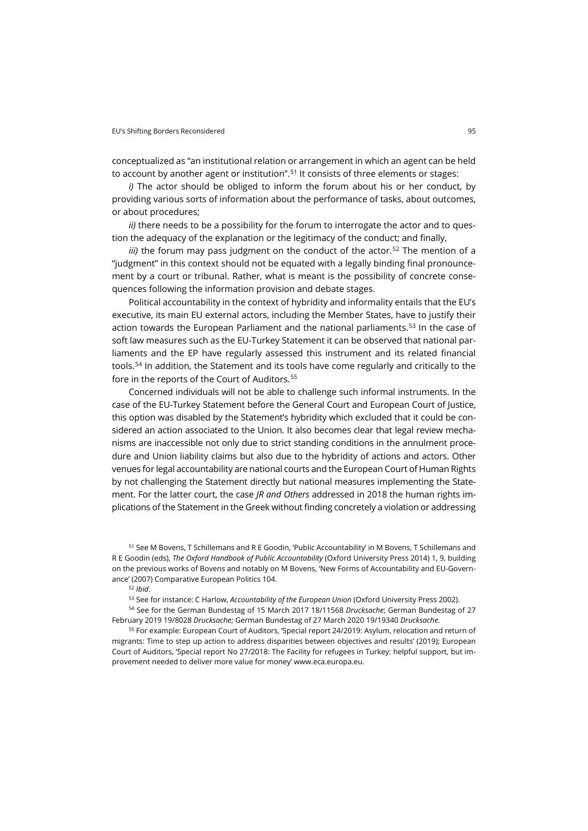conceptualized as "an institutional relation or arrangement in which an agent can be held to account by another agent or institution". [51](#page-8-0) It consists of three elements or stages:

*i)* The actor should be obliged to inform the forum about his or her conduct, by providing various sorts of information about the performance of tasks, about outcomes, or about procedures;

*ii*) there needs to be a possibility for the forum to interrogate the actor and to question the adequacy of the explanation or the legitimacy of the conduct; and finally,

*iii*) the forum may pass judgment on the conduct of the actor.<sup>[52](#page-8-1)</sup> The mention of a "judgment" in this context should not be equated with a legally binding final pronouncement by a court or tribunal. Rather, what is meant is the possibility of concrete consequences following the information provision and debate stages.

Political accountability in the context of hybridity and informality entails that the EU's executive, its main EU external actors, including the Member States, have to justify their action towards the European Parliament and the national parliaments.<sup>[53](#page-8-2)</sup> In the case of soft law measures such as the EU-Turkey Statement it can be observed that national parliaments and the EP have regularly assessed this instrument and its related financial tools.<sup>[54](#page-8-3)</sup> In addition, the Statement and its tools have come regularly and critically to the fore in the reports of the Court of Auditors.<sup>[55](#page-8-4)</sup>

Concerned individuals will not be able to challenge such informal instruments. In the case of the EU-Turkey Statement before the General Court and European Court of Justice, this option was disabled by the Statement's hybridity which excluded that it could be considered an action associated to the Union. It also becomes clear that legal review mechanisms are inaccessible not only due to strict standing conditions in the annulment procedure and Union liability claims but also due to the hybridity of actions and actors. Other venues for legal accountability are national courts and the European Court of Human Rights by not challenging the Statement directly but national measures implementing the Statement. For the latter court, the case *JR and Others* addressed in 2018 the human rights implications of the Statement in the Greek without finding concretely a violation or addressing

<span id="page-8-0"></span><sup>51</sup> See M Bovens, T Schillemans and R E Goodin, 'Public Accountability' in M Bovens, T Schillemans and R E Goodin (eds), *The Oxford Handbook of Public Accountability* (Oxford University Press 2014) 1, 9, building on the previous works of Bovens and notably on M Bovens, 'New Forms of Accountability and EU-Governance' (2007) Comparative European Politics 104.

<sup>52</sup> *Ibid*.

<sup>53</sup> See for instance: C Harlow, *Accountability of the European Union* (Oxford University Press 2002).

<span id="page-8-3"></span><span id="page-8-2"></span><span id="page-8-1"></span><sup>54</sup> See for the German Bundestag of 15 March 2017 18/11568 *Drucksache*; German Bundestag of 27 February 2019 19/8028 *Drucksache*; German Bundestag of 27 March 2020 19/19340 *Drucksache*.

<span id="page-8-4"></span><sup>55</sup> For example: European Court of Auditors, 'Special report 24/2019: Asylum, relocation and return of migrants: Time to step up action to address disparities between objectives and results' (2019); European Court of Auditors, 'Special report No 27/2018: The Facility for refugees in Turkey: helpful support, but improvement needed to deliver more value for money' [www.eca.europa.eu.](https://www.eca.europa.eu/en/Pages/DocItem.aspx?did=47552https://www.eca.europa.eu/en/Pages/DocItem.aspx?did=47552)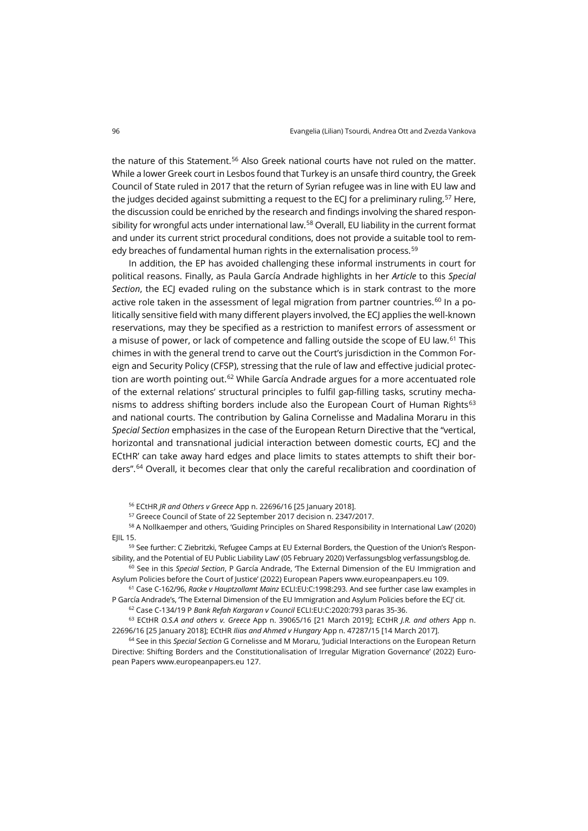the nature of this Statement.<sup>[56](#page-9-0)</sup> Also Greek national courts have not ruled on the matter. While a lower Greek court in Lesbos found that Turkey is an unsafe third country, the Greek Council of State ruled in 2017 that the return of Syrian refugee was in line with EU law and the judges decided against submitting a request to the ECJ for a preliminary ruling.<sup>[57](#page-9-1)</sup> Here, the discussion could be enriched by the research and findings involving the shared respon-sibility for wrongful acts under international law.<sup>[58](#page-9-2)</sup> Overall, EU liability in the current format and under its current strict procedural conditions, does not provide a suitable tool to rem-edy breaches of fundamental human rights in the externalisation process.<sup>[59](#page-9-3)</sup>

In addition, the EP has avoided challenging these informal instruments in court for political reasons. Finally, as Paula García Andrade highlights in her *Article* to this *Special*  Section, the ECJ evaded ruling on the substance which is in stark contrast to the more active role taken in the assessment of legal migration from partner countries.<sup>[60](#page-9-4)</sup> In a politically sensitive field with many different players involved, the ECJ applies the well-known reservations, may they be specified as a restriction to manifest errors of assessment or a misuse of power, or lack of competence and falling outside the scope of EU law.<sup>[61](#page-9-5)</sup> This chimes in with the general trend to carve out the Court's jurisdiction in the Common Foreign and Security Policy (CFSP), stressing that the rule of law and effective judicial protec-tion are worth pointing out.<sup>[62](#page-9-6)</sup> While García Andrade argues for a more accentuated role of the external relations' structural principles to fulfil gap-filling tasks, scrutiny mecha-nisms to address shifting borders include also the European Court of Human Rights<sup>[63](#page-9-7)</sup> and national courts. The contribution by Galina Cornelisse and Madalina Moraru in this *Special Section* emphasizes in the case of the European Return Directive that the "vertical, horizontal and transnational judicial interaction between domestic courts, ECJ and the ECtHR' can take away hard edges and place limits to states attempts to shift their borders". [64](#page-9-8) Overall, it becomes clear that only the careful recalibration and coordination of

<sup>56</sup> ECtHR *JR and Others v Greece* App n. 22696/16 [25 January 2018].

<sup>57</sup> Greece Council of State of 22 September 2017 decision n. 2347/2017.

<span id="page-9-2"></span><span id="page-9-1"></span><span id="page-9-0"></span><sup>58</sup> A Nollkaemper and others, 'Guiding Principles on Shared Responsibility in International Law' (2020) EJIL 15.

<span id="page-9-3"></span><sup>59</sup> See further: C Ziebritzki, 'Refugee Camps at EU External Borders, the Question of the Union's Responsibility, and the Potential of EU Public Liability Law' (05 February 2020) Verfassungsblo[g verfassungsblog.de.](https://verfassungsblog.de/refugee-camps-at-eu-external-borders-the-question-of-the-unions-responsibility-and-the-potential-of-eu-public-liability-law/)

<span id="page-9-4"></span><sup>60</sup> See in this *Special Section*, P García Andrade, 'The External Dimension of the EU Immigration and Asylum Policies before the Court of Justice' (2022) European Paper[s www.europeanpapers.eu](https://www.europeanpapers.eu/en/e-journal/external-dimension-eu-immigration-and-asylum-policies-before-court-of-justice) 109.

<span id="page-9-5"></span><sup>61</sup> Case C-162/96, *Racke v Hauptzollamt Mainz* ECLI:EU:C:1998:293. And see further case law examples in P García Andrade's, 'The External Dimension of the EU Immigration and Asylum Policies before the ECJ' cit.

<sup>62</sup> Case C-134/19 P *Bank Refah Kargaran v Council* ECLI:EU:C:2020:793 paras 35-36.

<span id="page-9-7"></span><span id="page-9-6"></span><sup>63</sup> ECtHR *O.S.A and others v. Greece* App n. [39065/16](http://hudoc.echr.coe.int/eng?i=001-191742) [21 March 2019]; ECtHR *J.R. and others* App n. 22696/16 [25 January 2018]; ECtHR *Ilias and Ahmed v Hungary* App n. 47287/15 [14 March 2017].

<span id="page-9-8"></span><sup>64</sup> See in this *Special Section* G Cornelisse and M Moraru, 'Judicial Interactions on the European Return Directive: Shifting Borders and the Constitutionalisation of Irregular Migration Governance' (2022) European Paper[s www.europeanpapers.eu](https://www.europeanpapers.eu/en/e-journal/judicial-interactions-on-european-return-directive) 127.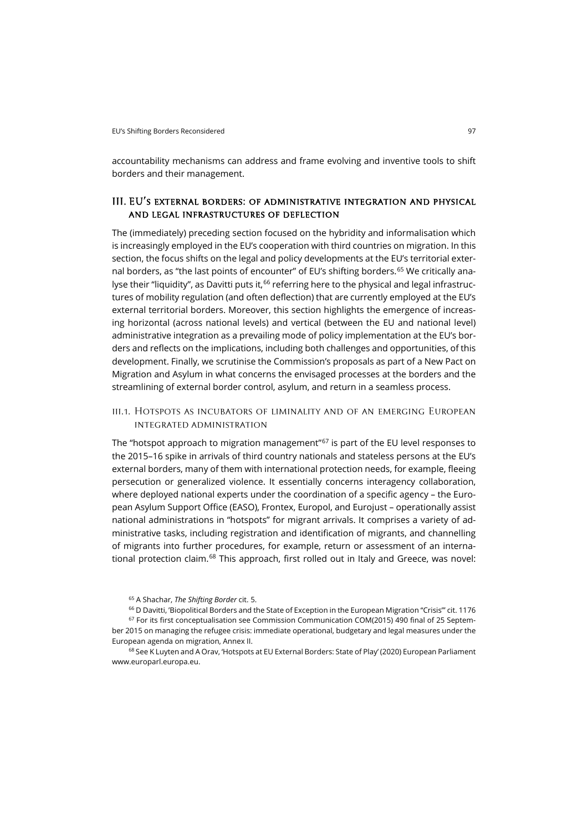accountability mechanisms can address and frame evolving and inventive tools to shift borders and their management.

# III. EU's external borders: of administrative integration and physical and legal infrastructures of deflection

The (immediately) preceding section focused on the hybridity and informalisation which is increasingly employed in the EU's cooperation with third countries on migration. In this section, the focus shifts on the legal and policy developments at the EU's territorial exter-nal borders, as "the last points of encounter" of EU's shifting borders.<sup>[65](#page-10-0)</sup> We critically ana-lyse their "liquidity", as Davitti puts it, <sup>[66](#page-10-1)</sup> referring here to the physical and legal infrastructures of mobility regulation (and often deflection) that are currently employed at the EU's external territorial borders. Moreover, this section highlights the emergence of increasing horizontal (across national levels) and vertical (between the EU and national level) administrative integration as a prevailing mode of policy implementation at the EU's borders and reflects on the implications, including both challenges and opportunities, of this development. Finally, we scrutinise the Commission's proposals as part of a New Pact on Migration and Asylum in what concerns the envisaged processes at the borders and the streamlining of external border control, asylum, and return in a seamless process.

# iii.1. Hotspots as incubators of liminality and of an emerging European integrated administration

The "hotspot approach to migration management" $67$  is part of the EU level responses to the 2015–16 spike in arrivals of third country nationals and stateless persons at the EU's external borders, many of them with international protection needs, for example, fleeing persecution or generalized violence. It essentially concerns interagency collaboration, where deployed national experts under the coordination of a specific agency – the European Asylum Support Office (EASO), Frontex, Europol, and Eurojust – operationally assist national administrations in "hotspots" for migrant arrivals. It comprises a variety of administrative tasks, including registration and identification of migrants, and channelling of migrants into further procedures, for example, return or assessment of an interna-tional protection claim.<sup>[68](#page-10-3)</sup> This approach, first rolled out in Italy and Greece, was novel:

<span id="page-10-3"></span><sup>68</sup> See K Luyten and A Orav, 'Hotspots at EU External Borders: State of Play' (2020) European Parliament [www.europarl.europa.eu.](https://www.europarl.europa.eu/thinktank/en/document/EPRS_BRI(2020)652090)

<sup>65</sup> A Shachar, *The Shifting Border* cit. 5.

<span id="page-10-2"></span><span id="page-10-1"></span><span id="page-10-0"></span><sup>&</sup>lt;sup>66</sup> D Davitti, 'Biopolitical Borders and the State of Exception in the European Migration "Crisis"' cit. 1176 <sup>67</sup> For its first conceptualisation see Commission Communication COM(2015) 490 final of 25 September 2015 on managing the refugee crisis: immediate operational, budgetary and legal measures under the European agenda on migration, Annex II.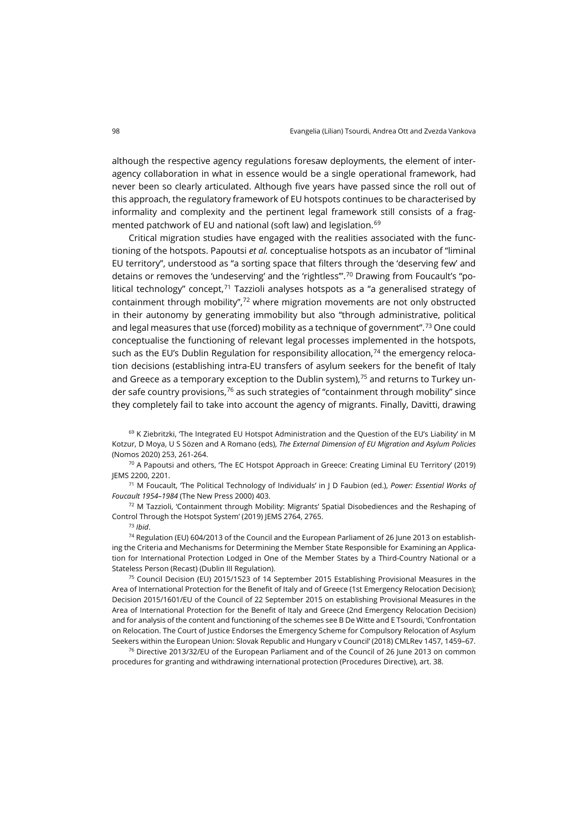although the respective agency regulations foresaw deployments, the element of interagency collaboration in what in essence would be a single operational framework, had never been so clearly articulated. Although five years have passed since the roll out of this approach, the regulatory framework of EU hotspots continues to be characterised by informality and complexity and the pertinent legal framework still consists of a frag-mented patchwork of EU and national (soft law) and legislation.<sup>[69](#page-11-0)</sup>

Critical migration studies have engaged with the realities associated with the functioning of the hotspots. Papoutsi *et al.* conceptualise hotspots as an incubator of "liminal EU territory", understood as "a sorting space that filters through the 'deserving few' and detains or removes the 'undeserving' and the 'rightless'". [70](#page-11-1) Drawing from Foucault's "political technology" concept, $71$  Tazzioli analyses hotspots as a "a generalised strategy of containment through mobility",<sup>[72](#page-11-3)</sup> where migration movements are not only obstructed in their autonomy by generating immobility but also "through administrative, political and legal measures that use (forced) mobility as a technique of government". [73](#page-11-4) One could conceptualise the functioning of relevant legal processes implemented in the hotspots, such as the EU's Dublin Regulation for responsibility allocation, $74$  the emergency relocation decisions (establishing intra-EU transfers of asylum seekers for the benefit of Italy and Greece as a temporary exception to the Dublin system), $7<sup>5</sup>$  and returns to Turkey un-der safe country provisions,<sup>[76](#page-11-7)</sup> as such strategies of "containment through mobility" since they completely fail to take into account the agency of migrants. Finally, Davitti, drawing

<span id="page-11-0"></span><sup>69</sup> K Ziebritzki, 'The Integrated EU Hotspot Administration and the Question of the EU's Liability' in M Kotzur, D Moya, U S Sözen and A Romano (eds), *The External Dimension of EU Migration and Asylum Policies* (Nomos 2020) 253, 261-264.

<span id="page-11-1"></span> $70$  A Papoutsi and others, The EC Hotspot Approach in Greece: Creating Liminal EU Territory' (2019) JEMS 2200, 2201.

<span id="page-11-2"></span><sup>71</sup> M Foucault, 'The Political Technology of Individuals' in J D Faubion (ed.), *Power: Essential Works of Foucault 1954–1984* (The New Press 2000) 403.

<span id="page-11-3"></span><sup>72</sup> M Tazzioli, 'Containment through Mobility: Migrants' Spatial Disobediences and the Reshaping of Control Through the Hotspot System' (2019) JEMS 2764, 2765.

<sup>73</sup> *Ibid*.

<span id="page-11-5"></span><span id="page-11-4"></span><sup>74</sup> Regulation (EU) 604/2013 of the Council and the European Parliament of 26 June 2013 on establishing the Criteria and Mechanisms for Determining the Member State Responsible for Examining an Application for International Protection Lodged in One of the Member States by a Third-Country National or a Stateless Person (Recast) (Dublin III Regulation).

<span id="page-11-6"></span><sup>75</sup> Council Decision (EU) 2015/1523 of 14 September 2015 Establishing Provisional Measures in the Area of International Protection for the Benefit of Italy and of Greece (1st Emergency Relocation Decision); Decision 2015/1601/EU of the Council of 22 September 2015 on establishing Provisional Measures in the Area of International Protection for the Benefit of Italy and Greece (2nd Emergency Relocation Decision) and for analysis of the content and functioning of the schemes see B De Witte and E Tsourdi, 'Confrontation on Relocation. The Court of Justice Endorses the Emergency Scheme for Compulsory Relocation of Asylum Seekers within the European Union: Slovak Republic and Hungary v Council' (2018) CMLRev 1457, 1459–67.

<span id="page-11-7"></span> $76$  Directive 2013/32/EU of the European Parliament and of the Council of 26 June 2013 on common procedures for granting and withdrawing international protection (Procedures Directive), art. 38.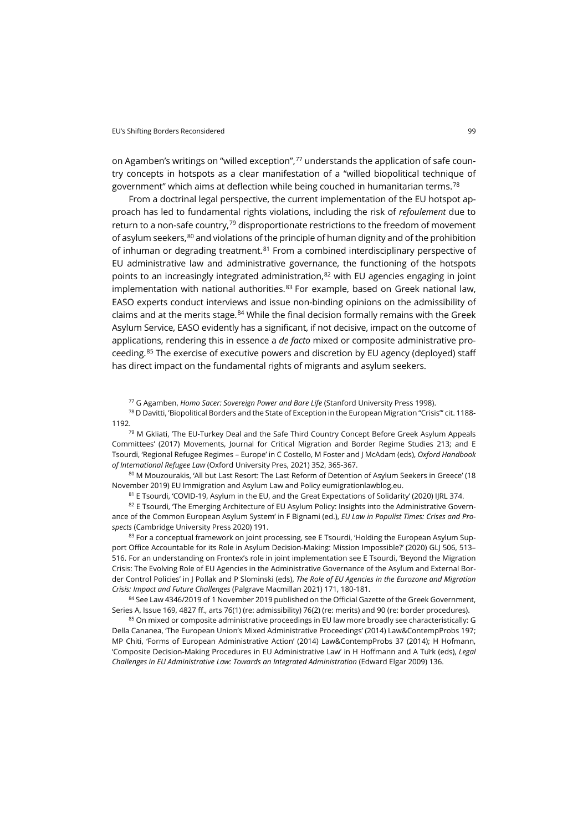on Agamben's writings on "willed exception",<sup>[77](#page-12-0)</sup> understands the application of safe country concepts in hotspots as a clear manifestation of a "willed biopolitical technique of government" which aims at deflection while being couched in humanitarian terms.[78](#page-12-1)

From a doctrinal legal perspective, the current implementation of the EU hotspot approach has led to fundamental rights violations, including the risk of *refoulement* due to return to a non-safe country, $79$  disproportionate restrictions to the freedom of movement of asylum seekers, $80$  and violations of the principle of human dignity and of the prohibition of inhuman or degrading treatment.<sup>[81](#page-12-4)</sup> From a combined interdisciplinary perspective of EU administrative law and administrative governance, the functioning of the hotspots points to an increasingly integrated administration, $82$  with EU agencies engaging in joint implementation with national authorities. $83$  For example, based on Greek national law, EASO experts conduct interviews and issue non-binding opinions on the admissibility of claims and at the merits stage.<sup>[84](#page-12-7)</sup> While the final decision formally remains with the Greek Asylum Service, EASO evidently has a significant, if not decisive, impact on the outcome of applications, rendering this in essence a *de facto* mixed or composite administrative proceeding. [85](#page-12-8) The exercise of executive powers and discretion by EU agency (deployed) staff has direct impact on the fundamental rights of migrants and asylum seekers.

<sup>77</sup> G Agamben, *Homo Sacer: Sovereign Power and Bare Life* (Stanford University Press 1998).

<span id="page-12-1"></span><span id="page-12-0"></span><sup>78</sup> D Davitti, 'Biopolitical Borders and the State of Exception in the European Migration "Crisis"' cit. 1188- 1192.

<span id="page-12-2"></span><sup>79</sup> M Gkliati, 'The EU-Turkey Deal and the Safe Third Country Concept Before Greek Asylum Appeals Committees' (2017) Movements, Journal for Critical Migration and Border Regime Studies 213; and E Tsourdi, 'Regional Refugee Regimes – Europe' in C Costello, M Foster and J McAdam (eds), *Oxford Handbook of International Refugee Law* (Oxford University Pres, 2021) 352, 365-367.

<span id="page-12-3"></span>80 M Mouzourakis, 'All but Last Resort: The Last Reform of Detention of Asylum Seekers in Greece' (18 November 2019) EU Immigration and Asylum Law and Polic[y eumigrationlawblog.eu.](https://eumigrationlawblog.eu/all-but-last-resort-the-last-reform-of-detention-of-asylum-seekers-in-greece/)

81 E Tsourdi, 'COVID-19, Asylum in the EU, and the Great Expectations of Solidarity' (2020) IJRL 374.

<span id="page-12-5"></span><span id="page-12-4"></span>82 E Tsourdi, 'The Emerging Architecture of EU Asylum Policy: Insights into the Administrative Governance of the Common European Asylum System' in F Bignami (ed.), *EU Law in Populist Times: Crises and Prospects* (Cambridge University Press 2020) 191.

<span id="page-12-6"></span>83 For a conceptual framework on joint processing, see E Tsourdi, 'Holding the European Asylum Support Office Accountable for its Role in Asylum Decision-Making: Mission Impossible?' (2020) GLJ 506, 513– 516. For an understanding on Frontex's role in joint implementation see E Tsourdi, 'Beyond the Migration Crisis: The Evolving Role of EU Agencies in the Administrative Governance of the Asylum and External Border Control Policies' in J Pollak and P Slominski (eds), *The Role of EU Agencies in the Eurozone and Migration Crisis: Impact and Future Challenges* (Palgrave Macmillan 2021) 171, 180-181.

<span id="page-12-7"></span>84 See Law 4346/2019 of 1 November 2019 published on the Official Gazette of the Greek Government, Series A, Issue 169, 4827 ff., arts 76(1) (re: admissibility) 76(2) (re: merits) and 90 (re: border procedures).

<span id="page-12-8"></span>85 On mixed or composite administrative proceedings in EU law more broadly see characteristically: G Della Cananea, 'The European Union's Mixed Administrative Proceedings' (2014) Law&ContempProbs 197; MP Chiti, 'Forms of European Administrative Action' (2014) Law&ContempProbs 37 (2014); H Hofmann, 'Composite Decision-Making Procedures in EU Administrative Law' in H Hoffmann and A Türk (eds), *Legal Challenges in EU Administrative Law: Towards an Integrated Administration* (Edward Elgar 2009) 136.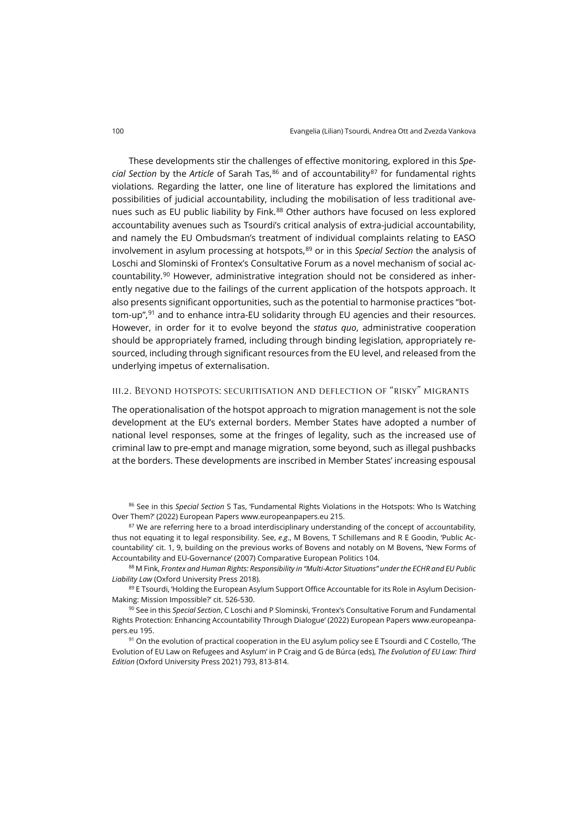These developments stir the challenges of effective monitoring, explored in this *Special Section* by the *Article* of Sarah Tas,[86](#page-13-0) and of accountability[87](#page-13-1) for fundamental rights violations. Regarding the latter, one line of literature has explored the limitations and possibilities of judicial accountability, including the mobilisation of less traditional ave-nues such as EU public liability by Fink.<sup>[88](#page-13-2)</sup> Other authors have focused on less explored accountability avenues such as Tsourdi's critical analysis of extra-judicial accountability, and namely the EU Ombudsman's treatment of individual complaints relating to EASO involvement in asylum processing at hotspots,<sup>[89](#page-13-3)</sup> or in this *Special Section* the analysis of Loschi and Slominski of Frontex's Consultative Forum as a novel mechanism of social ac-countability.<sup>[90](#page-13-4)</sup> However, administrative integration should not be considered as inherently negative due to the failings of the current application of the hotspots approach. It also presents significant opportunities, such as the potential to harmonise practices "bottom-up", [91](#page-13-5) and to enhance intra-EU solidarity through EU agencies and their resources. However, in order for it to evolve beyond the *status quo*, administrative cooperation should be appropriately framed, including through binding legislation, appropriately resourced, including through significant resources from the EU level, and released from the underlying impetus of externalisation.

## iii.2. Beyond hotspots: securitisation and deflection of "risky" migrants

The operationalisation of the hotspot approach to migration management is not the sole development at the EU's external borders. Member States have adopted a number of national level responses, some at the fringes of legality, such as the increased use of criminal law to pre-empt and manage migration, some beyond, such as illegal pushbacks at the borders. These developments are inscribed in Member States' increasing espousal

<span id="page-13-0"></span><sup>86</sup> See in this *Special Section* S Tas, 'Fundamental Rights Violations in the Hotspots: Who Is Watching Over Them?' (2022) European Papers [www.europeanpapers.eu](https://www.europeanpapers.eu/en/e-journal/fundamental-rights-violations-in-hotspots-who-is-watching-over-them) 215.

<span id="page-13-1"></span><sup>87</sup> We are referring here to a broad interdisciplinary understanding of the concept of accountability, thus not equating it to legal responsibility. See, *e*.*g*., M Bovens, T Schillemans and R E Goodin, 'Public Accountability' cit. 1, 9, building on the previous works of Bovens and notably on M Bovens, 'New Forms of Accountability and EU-Governance' (2007) Comparative European Politics 104.

<span id="page-13-2"></span><sup>88</sup> M Fink, *Frontex and Human Rights: Responsibility in "Multi-Actor Situations" under the ECHR and EU Public Liability Law* (Oxford University Press 2018).

<span id="page-13-3"></span>89 E Tsourdi, 'Holding the European Asylum Support Office Accountable for its Role in Asylum Decision-Making: Mission Impossible?' cit. 526-530.

<span id="page-13-4"></span><sup>90</sup> See in this *Special Section*, C Loschi and P Slominski, 'Frontex's Consultative Forum and Fundamental Rights Protection: Enhancing Accountability Through Dialogue' (2022) European Papers [www.europeanpa](https://www.europeanpapers.eu/en/e-journal/frontex-consultative-forum-and-fundamental-rights-protection-enhancing-accountability)[pers.eu](https://www.europeanpapers.eu/en/e-journal/frontex-consultative-forum-and-fundamental-rights-protection-enhancing-accountability) 195.

<span id="page-13-5"></span><sup>91</sup> On the evolution of practical cooperation in the EU asylum policy see E Tsourdi and C Costello, The Evolution of EU Law on Refugees and Asylum' in P Craig and G de Búrca (eds), *The Evolution of EU Law: Third Edition* (Oxford University Press 2021) 793, 813-814.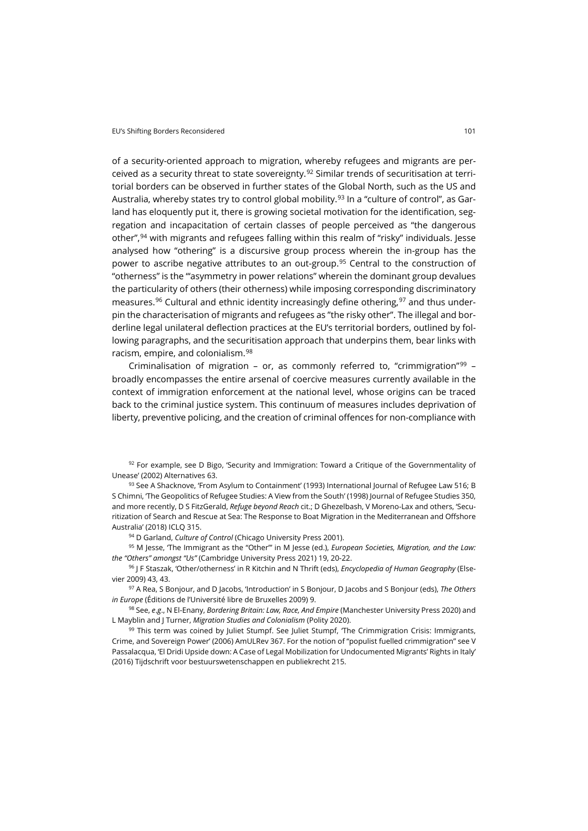of a security-oriented approach to migration, whereby refugees and migrants are per-ceived as a security threat to state sovereignty.<sup>[92](#page-14-0)</sup> Similar trends of securitisation at territorial borders can be observed in further states of the Global North, such as the US and Australia, whereby states try to control global mobility.<sup>[93](#page-14-1)</sup> In a "culture of control", as Garland has eloquently put it, there is growing societal motivation for the identification, segregation and incapacitation of certain classes of people perceived as "the dangerous other", [94](#page-14-2) with migrants and refugees falling within this realm of "risky" individuals. Jesse analysed how "othering" is a discursive group process wherein the in-group has the power to ascribe negative attributes to an out-group.<sup>[95](#page-14-3)</sup> Central to the construction of "otherness" is the "'asymmetry in power relations" wherein the dominant group devalues the particularity of others (their otherness) while imposing corresponding discriminatory measures.<sup>[96](#page-14-4)</sup> Cultural and ethnic identity increasingly define othering,  $97$  and thus underpin the characterisation of migrants and refugees as "the risky other". The illegal and borderline legal unilateral deflection practices at the EU's territorial borders, outlined by following paragraphs, and the securitisation approach that underpins them, bear links with racism, empire, and colonialism.[98](#page-14-6)

Criminalisation of migration – or, as commonly referred to, "crimmigration" $99 99$ broadly encompasses the entire arsenal of coercive measures currently available in the context of immigration enforcement at the national level, whose origins can be traced back to the criminal justice system. This continuum of measures includes deprivation of liberty, preventive policing, and the creation of criminal offences for non-compliance with

<span id="page-14-0"></span> $92$  For example, see D Bigo, 'Security and Immigration: Toward a Critique of the Governmentality of Unease' (2002) Alternatives 63.

<span id="page-14-1"></span>93 See A Shacknove, 'From Asylum to Containment' (1993) International Journal of Refugee Law 516; B S Chimni, 'The Geopolitics of Refugee Studies: A View from the South' (1998) Journal of Refugee Studies 350, and more recently, D S FitzGerald, *Refuge beyond Reach* cit.; D Ghezelbash, V Moreno-Lax and others, 'Securitization of Search and Rescue at Sea: The Response to Boat Migration in the Mediterranean and Offshore Australia' (2018) ICLQ 315.

<sup>94</sup> D Garland, *Culture of Control* (Chicago University Press 2001).

<span id="page-14-3"></span><span id="page-14-2"></span><sup>95</sup> M Jesse, 'The Immigrant as the "Other"' in M Jesse (ed.), *European Societies, Migration, and the Law: the "Others" amongst "Us"* (Cambridge University Press 2021) 19, 20-22.

<span id="page-14-4"></span><sup>96</sup> J F Staszak, 'Other/otherness' in R Kitchin and N Thrift (eds), *Encyclopedia of Human Geography* (Elsevier 2009) 43, 43.

<span id="page-14-5"></span><sup>97</sup> A Rea, S Bonjour, and D Jacobs, 'Introduction' in S Bonjour, D Jacobs and S Bonjour (eds), *The Others in Europe* (Éditions de l'Université libre de Bruxelles 2009) 9.

<span id="page-14-6"></span><sup>98</sup> See, *e*.*g*., N El-Enany, *Bordering Britain: Law, Race, And Empire* (Manchester University Press 2020) and L Mayblin and J Turner, *Migration Studies and Colonialism* (Polity 2020).

<span id="page-14-7"></span> $99$  This term was coined by Juliet Stumpf. See Juliet Stumpf, The Crimmigration Crisis: Immigrants, Crime, and Sovereign Power' (2006) AmULRev 367. For the notion of "populist fuelled crimmigration" see V Passalacqua, 'El Dridi Upside down: A Case of Legal Mobilization for Undocumented Migrants' Rights in Italy' (2016) Tijdschrift voor bestuurswetenschappen en publiekrecht 215.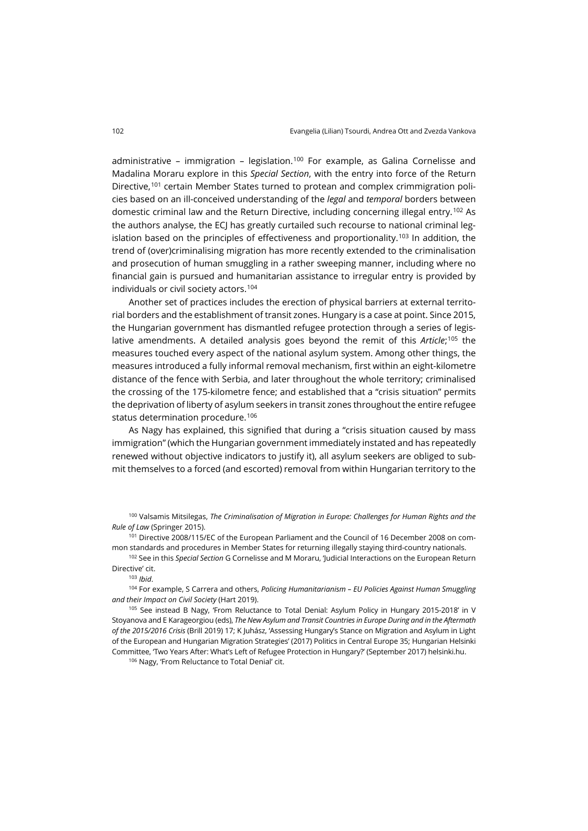administrative – immigration – legislation.<sup>[100](#page-15-0)</sup> For example, as Galina Cornelisse and Madalina Moraru explore in this *Special Section*, with the entry into force of the Return Directive,<sup>[101](#page-15-1)</sup> certain Member States turned to protean and complex crimmigration policies based on an ill-conceived understanding of the *legal* and *temporal* borders between domestic criminal law and the Return Directive, including concerning illegal entry.[102](#page-15-2) As the authors analyse, the ECJ has greatly curtailed such recourse to national criminal leg-islation based on the principles of effectiveness and proportionality.<sup>[103](#page-15-3)</sup> In addition, the trend of (over)criminalising migration has more recently extended to the criminalisation and prosecution of human smuggling in a rather sweeping manner, including where no financial gain is pursued and humanitarian assistance to irregular entry is provided by individuals or civil society actors.<sup>[104](#page-15-4)</sup>

Another set of practices includes the erection of physical barriers at external territorial borders and the establishment of transit zones. Hungary is a case at point. Since 2015, the Hungarian government has dismantled refugee protection through a series of legislative amendments. A detailed analysis goes beyond the remit of this *Article*; [105](#page-15-5) the measures touched every aspect of the national asylum system. Among other things, the measures introduced a fully informal removal mechanism, first within an eight-kilometre distance of the fence with Serbia, and later throughout the whole territory; criminalised the crossing of the 175-kilometre fence; and established that a "crisis situation" permits the deprivation of liberty of asylum seekers in transit zones throughout the entire refugee status determination procedure.<sup>[106](#page-15-6)</sup>

As Nagy has explained, this signified that during a "crisis situation caused by mass immigration" (which the Hungarian government immediately instated and has repeatedly renewed without objective indicators to justify it), all asylum seekers are obliged to submit themselves to a forced (and escorted) removal from within Hungarian territory to the

<span id="page-15-0"></span><sup>100</sup> Valsamis Mitsilegas, *The Criminalisation of Migration in Europe: Challenges for Human Rights and the Rule of Law* (Springer 2015).

<span id="page-15-1"></span><sup>101</sup> Directive 2008/115/EC of the European Parliament and the Council of 16 December 2008 on common standards and procedures in Member States for returning illegally staying third-country nationals.

<span id="page-15-2"></span><sup>102</sup> See in this *Special Section* G Cornelisse and M Moraru, 'Judicial Interactions on the European Return Directive' cit.

<sup>103</sup> *Ibid*.

<span id="page-15-4"></span><span id="page-15-3"></span><sup>104</sup> For example, S Carrera and others, *Policing Humanitarianism – EU Policies Against Human Smuggling and their Impact on Civil Society* (Hart 2019).

<span id="page-15-6"></span><span id="page-15-5"></span><sup>105</sup> See instead B Nagy, 'From Reluctance to Total Denial: Asylum Policy in Hungary 2015-2018' in V Stoyanova and E Karageorgiou (eds), *The New Asylum and Transit Countries in Europe During and in the Aftermath of the 2015/2016 Crisis* (Brill 2019) 17; K Juhász, 'Assessing Hungary's Stance on Migration and Asylum in Light of the European and Hungarian Migration Strategies' (2017) Politics in Central Europe 35; Hungarian Helsinki Committee, 'Two Years After: What's Left of Refugee Protection in Hungary?' (September 2017) [helsinki.hu.](https://helsinki.hu/wp-content/uploads/Two-years-after_2017.pdf)

106 Nagy, 'From Reluctance to Total Denial' cit.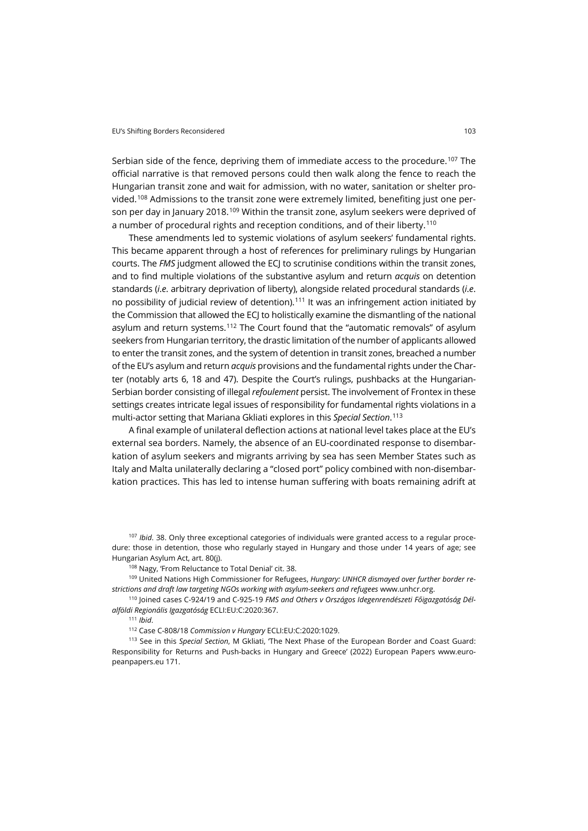Serbian side of the fence, depriving them of immediate access to the procedure.[107](#page-16-0) The official narrative is that removed persons could then walk along the fence to reach the Hungarian transit zone and wait for admission, with no water, sanitation or shelter provided.[108](#page-16-1) Admissions to the transit zone were extremely limited, benefiting just one per-son per day in January 2018.<sup>[109](#page-16-2)</sup> Within the transit zone, asylum seekers were deprived of a number of procedural rights and reception conditions, and of their liberty.<sup>[110](#page-16-3)</sup>

These amendments led to systemic violations of asylum seekers' fundamental rights. This became apparent through a host of references for preliminary rulings by Hungarian courts. The *FMS* judgment allowed the ECJ to scrutinise conditions within the transit zones, and to find multiple violations of the substantive asylum and return *acquis* on detention standards (*i*.*e*. arbitrary deprivation of liberty), alongside related procedural standards (*i*.*e*. no possibility of judicial review of detention).<sup>[111](#page-16-4)</sup> It was an infringement action initiated by the Commission that allowed the ECJ to holistically examine the dismantling of the national asylum and return systems.[112](#page-16-5) The Court found that the "automatic removals" of asylum seekers from Hungarian territory, the drastic limitation of the number of applicants allowed to enter the transit zones, and the system of detention in transit zones, breached a number of the EU's asylum and return *acquis* provisions and the fundamental rights under the Charter (notably arts 6, 18 and 47). Despite the Court's rulings, pushbacks at the Hungarian-Serbian border consisting of illegal *refoulement* persist. The involvement of Frontex in these settings creates intricate legal issues of responsibility for fundamental rights violations in a multi-actor setting that Mariana Gkliati explores in this *Special Section*. [113](#page-16-6)

A final example of unilateral deflection actions at national level takes place at the EU's external sea borders. Namely, the absence of an EU-coordinated response to disembarkation of asylum seekers and migrants arriving by sea has seen Member States such as Italy and Malta unilaterally declaring a "closed port" policy combined with non-disembarkation practices. This has led to intense human suffering with boats remaining adrift at

<span id="page-16-0"></span><sup>107</sup> *Ibid*. 38. Only three exceptional categories of individuals were granted access to a regular procedure: those in detention, those who regularly stayed in Hungary and those under 14 years of age; see Hungarian Asylum Act, art. 80(j).

108 Nagy, 'From Reluctance to Total Denial' cit. 38.

<span id="page-16-2"></span><span id="page-16-1"></span><sup>109</sup> United Nations High Commissioner for Refugees, *Hungary: UNHCR dismayed over further border restrictions and draft law targeting NGOs working with asylum-seekers and refugees* [www.unhcr.org.](http://www.unhcr.org/news/press/2018/2/5a86dcff4/hungary-unhcr-dismayed-further-border-restrictions-draft-law-targeting.html)

<span id="page-16-4"></span><span id="page-16-3"></span><sup>110</sup> Joined cases C-924/19 and C-925-19 *FMS and Others v Országos Idegenrendészeti Főigazgatóság Délalföldi Regionális Igazgatóság* ECLI:EU:C:2020:367.

<sup>111</sup> *Ibid*.

<sup>112</sup> Case C-808/18 *Commission v Hungary* ECLI:EU:C:2020:1029.

<span id="page-16-6"></span><span id="page-16-5"></span><sup>113</sup> See in this *Special Section*, M Gkliati, 'The Next Phase of the European Border and Coast Guard: Responsibility for Returns and Push-backs in Hungary and Greece' (2022) European Papers [www.euro](https://www.europeanpapers.eu/en/e-journal/next-phase-of-european-border-and-coast-guard-responsibility)[peanpapers.eu](https://www.europeanpapers.eu/en/e-journal/next-phase-of-european-border-and-coast-guard-responsibility) 171.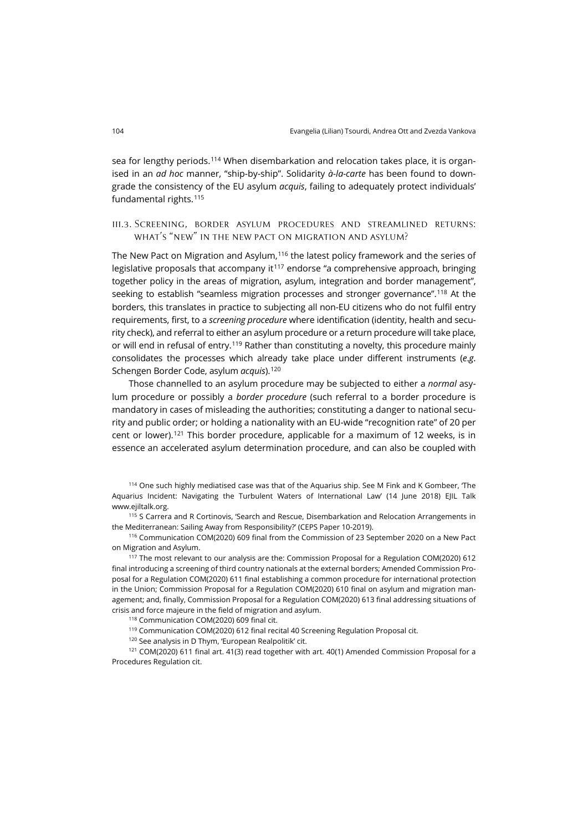sea for lengthy periods.[114](#page-17-0) When disembarkation and relocation takes place, it is organised in an *ad hoc* manner, "ship-by-ship". Solidarity *à-la-carte* has been found to downgrade the consistency of the EU asylum *acquis*, failing to adequately protect individuals' fundamental rights.[115](#page-17-1)

iii.3. Screening, border asylum procedures and streamlined returns: what's "new" in the new pact on migration and asylum?

The New Pact on Migration and Asylum, $^{\rm 116}$  $^{\rm 116}$  $^{\rm 116}$  the latest policy framework and the series of legislative proposals that accompany it $117$  endorse "a comprehensive approach, bringing together policy in the areas of migration, asylum, integration and border management", seeking to establish "seamless migration processes and stronger governance". [118](#page-17-4) At the borders, this translates in practice to subjecting all non-EU citizens who do not fulfil entry requirements, first, to a *screening procedure* where identification (identity, health and security check), and referral to either an asylum procedure or a return procedure will take place, or will end in refusal of entry.[119](#page-17-5) Rather than constituting a novelty, this procedure mainly consolidates the processes which already take place under different instruments (*e*.*g*. Schengen Border Code, asylum *acquis*).[120](#page-17-6)

Those channelled to an asylum procedure may be subjected to either a *normal* asylum procedure or possibly a *border procedure* (such referral to a border procedure is mandatory in cases of misleading the authorities; constituting a danger to national security and public order; or holding a nationality with an EU-wide "recognition rate" of 20 per cent or lower).<sup>[121](#page-17-7)</sup> This border procedure, applicable for a maximum of 12 weeks, is in essence an accelerated asylum determination procedure, and can also be coupled with

<span id="page-17-0"></span>114 One such highly mediatised case was that of the Aquarius ship. See M Fink and K Gombeer, 'The Aquarius Incident: Navigating the Turbulent Waters of International Law' (14 June 2018) EJIL Talk [www.ejiltalk.org.](https://www.ejiltalk.org/the-aquarius-incident-navigating-the-turbulent-waters-of-international-law/)

<span id="page-17-1"></span><sup>115</sup> S Carrera and R Cortinovis, 'Search and Rescue, Disembarkation and Relocation Arrangements in the Mediterranean: Sailing Away from Responsibility?' (CEPS Paper 10-2019).

<span id="page-17-2"></span><sup>116</sup> Communication COM(2020) 609 final from the Commission of 23 September 2020 on a New Pact on Migration and Asylum.

<span id="page-17-3"></span><sup>117</sup> The most relevant to our analysis are the: Commission Proposal for a Regulation COM(2020) 612 final introducing a screening of third country nationals at the external borders; Amended Commission Proposal for a Regulation COM(2020) 611 final establishing a common procedure for international protection in the Union; Commission Proposal for a Regulation COM(2020) 610 final on asylum and migration management; and, finally, Commission Proposal for a Regulation COM(2020) 613 final addressing situations of crisis and force majeure in the field of migration and asylum.

<sup>118</sup> Communication COM(2020) 609 final cit.

<sup>119</sup> Communication COM(2020) 612 final recital 40 Screening Regulation Proposal cit.

<sup>120</sup> See analysis in D Thym, 'European Realpolitik' cit.

<span id="page-17-7"></span><span id="page-17-6"></span><span id="page-17-5"></span><span id="page-17-4"></span>121 COM(2020) 611 final art. 41(3) read together with art. 40(1) Amended Commission Proposal for a Procedures Regulation cit.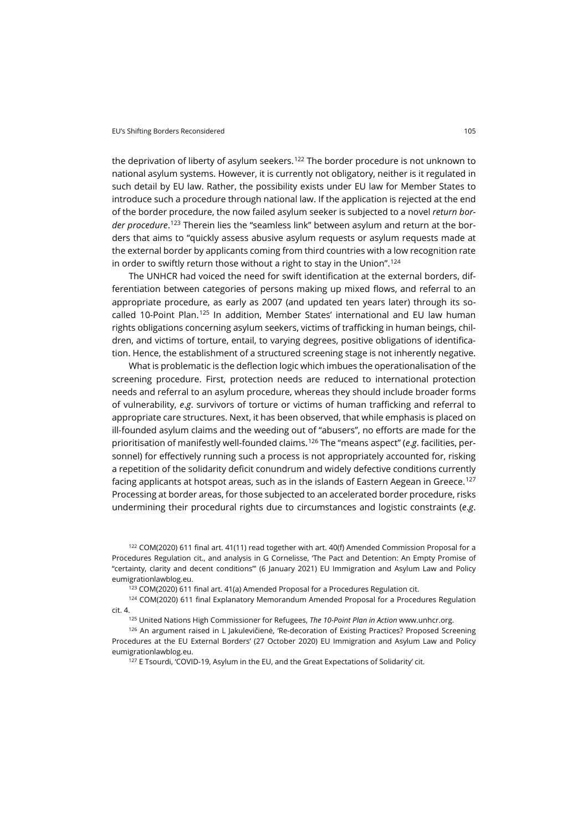the deprivation of liberty of asylum seekers.<sup>[122](#page-18-0)</sup> The border procedure is not unknown to national asylum systems. However, it is currently not obligatory, neither is it regulated in such detail by EU law. Rather, the possibility exists under EU law for Member States to introduce such a procedure through national law. If the application is rejected at the end of the border procedure, the now failed asylum seeker is subjected to a novel *return border procedure*. [123](#page-18-1) Therein lies the "seamless link" between asylum and return at the borders that aims to "quickly assess abusive asylum requests or asylum requests made at the external border by applicants coming from third countries with a low recognition rate in order to swiftly return those without a right to stay in the Union". [124](#page-18-2)

The UNHCR had voiced the need for swift identification at the external borders, differentiation between categories of persons making up mixed flows, and referral to an appropriate procedure, as early as 2007 (and updated ten years later) through its socalled 10-Point Plan.[125](#page-18-3) In addition, Member States' international and EU law human rights obligations concerning asylum seekers, victims of trafficking in human beings, children, and victims of torture, entail, to varying degrees, positive obligations of identification. Hence, the establishment of a structured screening stage is not inherently negative.

What is problematic is the deflection logic which imbues the operationalisation of the screening procedure. First, protection needs are reduced to international protection needs and referral to an asylum procedure, whereas they should include broader forms of vulnerability, *e*.*g*. survivors of torture or victims of human trafficking and referral to appropriate care structures. Next, it has been observed, that while emphasis is placed on ill-founded asylum claims and the weeding out of "abusers", no efforts are made for the prioritisation of manifestly well-founded claims.[126](#page-18-4) The "means aspect" (*e*.*g*. facilities, personnel) for effectively running such a process is not appropriately accounted for, risking a repetition of the solidarity deficit conundrum and widely defective conditions currently facing applicants at hotspot areas, such as in the islands of Eastern Aegean in Greece.<sup>[127](#page-18-5)</sup> Processing at border areas, for those subjected to an accelerated border procedure, risks undermining their procedural rights due to circumstances and logistic constraints (*e*.*g*.

<span id="page-18-0"></span><sup>122</sup> COM(2020) 611 final art. 41(11) read together with art. 40(f) Amended Commission Proposal for a Procedures Regulation cit., and analysis in G Cornelisse, 'The Pact and Detention: An Empty Promise of "certainty, clarity and decent conditions"' (6 January 2021) EU Immigration and Asylum Law and Policy [eumigrationlawblog.eu](https://eumigrationlawblog.eu/the-pact-and-detention-an-empty-promise-of-certainty-clarity-and-decent-conditions/).

<sup>123</sup> COM(2020) 611 final art. 41(a) Amended Proposal for a Procedures Regulation cit.

<span id="page-18-2"></span><span id="page-18-1"></span><sup>124</sup> COM(2020) 611 final Explanatory Memorandum Amended Proposal for a Procedures Regulation cit. 4.

<sup>125</sup> United Nations High Commissioner for Refugees, *The 10-Point Plan in Action* [www.unhcr.org.](https://www.unhcr.org/the-10-point-plan-in-action.html)

<span id="page-18-5"></span><span id="page-18-4"></span><span id="page-18-3"></span><sup>126</sup> An argument raised in L Jakulevičienė, 'Re-decoration of Existing Practices? Proposed Screening Procedures at the EU External Borders' (27 October 2020) EU Immigration and Asylum Law and Policy [eumigrationlawblog.eu.](https://eumigrationlawblog.eu/re-decoration-of-existing-practices-proposed-screening-procedures-at-the-eu-external-borders/)

127 E Tsourdi, 'COVID-19, Asylum in the EU, and the Great Expectations of Solidarity' cit.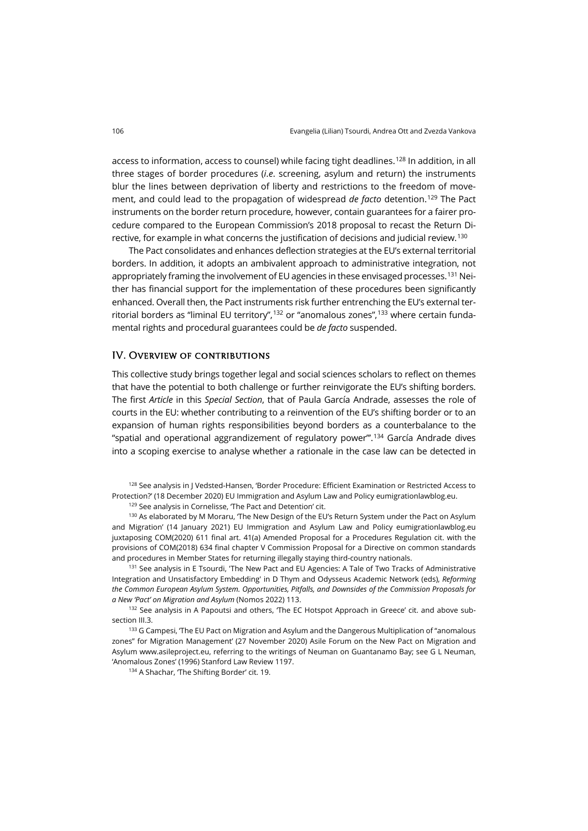access to information, access to counsel) while facing tight deadlines. [128](#page-19-0) In addition, in all three stages of border procedures (*i*.*e*. screening, asylum and return) the instruments blur the lines between deprivation of liberty and restrictions to the freedom of movement, and could lead to the propagation of widespread *de facto* detention. [129](#page-19-1) The Pact instruments on the border return procedure, however, contain guarantees for a fairer procedure compared to the European Commission's 2018 proposal to recast the Return Directive, for example in what concerns the justification of decisions and judicial review.[130](#page-19-2)

The Pact consolidates and enhances deflection strategies at the EU's external territorial borders. In addition, it adopts an ambivalent approach to administrative integration, not appropriately framing the involvement of EU agencies in these envisaged processes.<sup>131</sup> Neither has financial support for the implementation of these procedures been significantly enhanced. Overall then, the Pact instruments risk further entrenching the EU's external ter-ritorial borders as "liminal EU territory",<sup>[132](#page-19-4)</sup> or "anomalous zones",<sup>[133](#page-19-5)</sup> where certain fundamental rights and procedural guarantees could be *de facto* suspended.

#### IV. Overview of contributions

This collective study brings together legal and social sciences scholars to reflect on themes that have the potential to both challenge or further reinvigorate the EU's shifting borders. The first *Article* in this *Special Section*, that of Paula García Andrade, assesses the role of courts in the EU: whether contributing to a reinvention of the EU's shifting border or to an expansion of human rights responsibilities beyond borders as a counterbalance to the "spatial and operational aggrandizement of regulatory power".<sup>[134](#page-19-6)</sup> García Andrade dives into a scoping exercise to analyse whether a rationale in the case law can be detected in

<span id="page-19-0"></span><sup>128</sup> See analysis in J Vedsted-Hansen, 'Border Procedure: Efficient Examination or Restricted Access to Protection?' (18 December 2020) EU Immigration and Asylum Law and Polic[y eumigrationlawblog.eu.](https://eumigrationlawblog.eu/border-procedure-efficient-examination-or-restricted-access-to-protection/)

129 See analysis in Cornelisse, 'The Pact and Detention' cit.

<span id="page-19-2"></span><span id="page-19-1"></span>130 As elaborated by M Moraru, 'The New Design of the EU's Return System under the Pact on Asylum and Migration' (14 January 2021) EU Immigration and Asylum Law and Policy [eumigrationlawblog.eu](https://eumigrationlawblog.eu/the-new-design-of-the-eus-return-system-under-the-pact-on-asylum-and-migration/) juxtaposing COM(2020) 611 final art. 41(a) Amended Proposal for a Procedures Regulation cit. with the provisions of COM(2018) 634 final chapter V Commission Proposal for a Directive on common standards and procedures in Member States for returning illegally staying third-country nationals.

<span id="page-19-3"></span><sup>131</sup> See analysis in E Tsourdi, 'The New Pact and EU Agencies: A Tale of Two Tracks of Administrative Integration and Unsatisfactory Embedding' in D Thym and Odysseus Academic Network (eds), *Reforming the Common European Asylum System. Opportunities, Pitfalls, and Downsides of the Commission Proposals for a New 'Pact' on Migration and Asylum* (Nomos 2022) 113.

<span id="page-19-4"></span><sup>132</sup> See analysis in A Papoutsi and others, 'The EC Hotspot Approach in Greece' cit. and above subsection III.3.

<span id="page-19-6"></span><span id="page-19-5"></span><sup>133</sup> G Campesi, 'The EU Pact on Migration and Asylum and the Dangerous Multiplication of "anomalous zones" for Migration Management' (27 November 2020) Asile Forum on the New Pact on Migration and Asylum [www.asileproject.eu,](http://www.asileproject.eu/) referring to the writings of Neuman on Guantanamo Bay; see G L Neuman, 'Anomalous Zones' (1996) Stanford Law Review 1197.

134 A Shachar, The Shifting Border' cit. 19.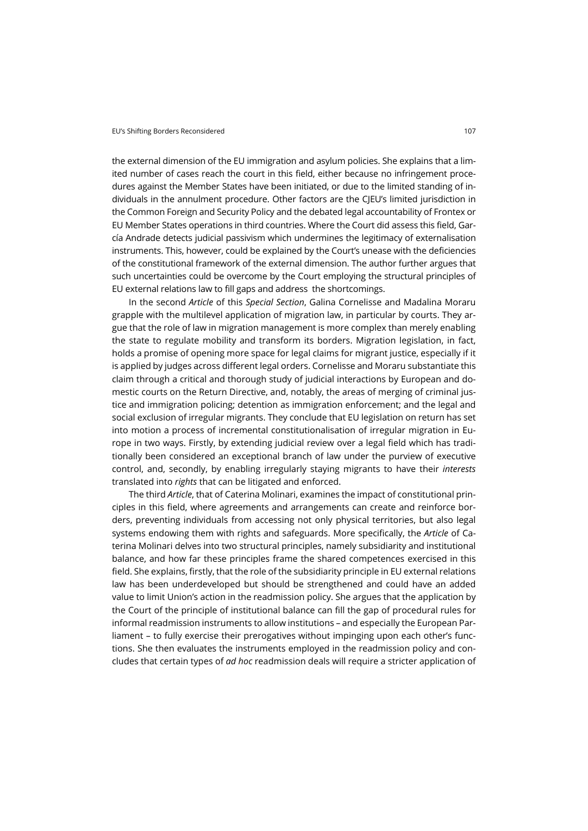the external dimension of the EU immigration and asylum policies. She explains that a limited number of cases reach the court in this field, either because no infringement procedures against the Member States have been initiated, or due to the limited standing of individuals in the annulment procedure. Other factors are the CJEU's limited jurisdiction in the Common Foreign and Security Policy and the debated legal accountability of Frontex or EU Member States operations in third countries. Where the Court did assess this field, García Andrade detects judicial passivism which undermines the legitimacy of externalisation instruments. This, however, could be explained by the Court's unease with the deficiencies of the constitutional framework of the external dimension. The author further argues that such uncertainties could be overcome by the Court employing the structural principles of EU external relations law to fill gaps and address the shortcomings.

In the second *Article* of this *Special Section*, Galina Cornelisse and Madalina Moraru grapple with the multilevel application of migration law, in particular by courts. They argue that the role of law in migration management is more complex than merely enabling the state to regulate mobility and transform its borders. Migration legislation, in fact, holds a promise of opening more space for legal claims for migrant justice, especially if it is applied by judges across different legal orders. Cornelisse and Moraru substantiate this claim through a critical and thorough study of judicial interactions by European and domestic courts on the Return Directive, and, notably, the areas of merging of criminal justice and immigration policing; detention as immigration enforcement; and the legal and social exclusion of irregular migrants. They conclude that EU legislation on return has set into motion a process of incremental constitutionalisation of irregular migration in Europe in two ways. Firstly, by extending judicial review over a legal field which has traditionally been considered an exceptional branch of law under the purview of executive control, and, secondly, by enabling irregularly staying migrants to have their *interests* translated into *rights* that can be litigated and enforced.

The third *Article*, that of Caterina Molinari, examines the impact of constitutional principles in this field, where agreements and arrangements can create and reinforce borders, preventing individuals from accessing not only physical territories, but also legal systems endowing them with rights and safeguards. More specifically, the *Article* of Caterina Molinari delves into two structural principles, namely subsidiarity and institutional balance, and how far these principles frame the shared competences exercised in this field. She explains, firstly, that the role of the subsidiarity principle in EU external relations law has been underdeveloped but should be strengthened and could have an added value to limit Union's action in the readmission policy. She argues that the application by the Court of the principle of institutional balance can fill the gap of procedural rules for informal readmission instruments to allow institutions – and especially the European Parliament – to fully exercise their prerogatives without impinging upon each other's functions. She then evaluates the instruments employed in the readmission policy and concludes that certain types of *ad hoc* readmission deals will require a stricter application of